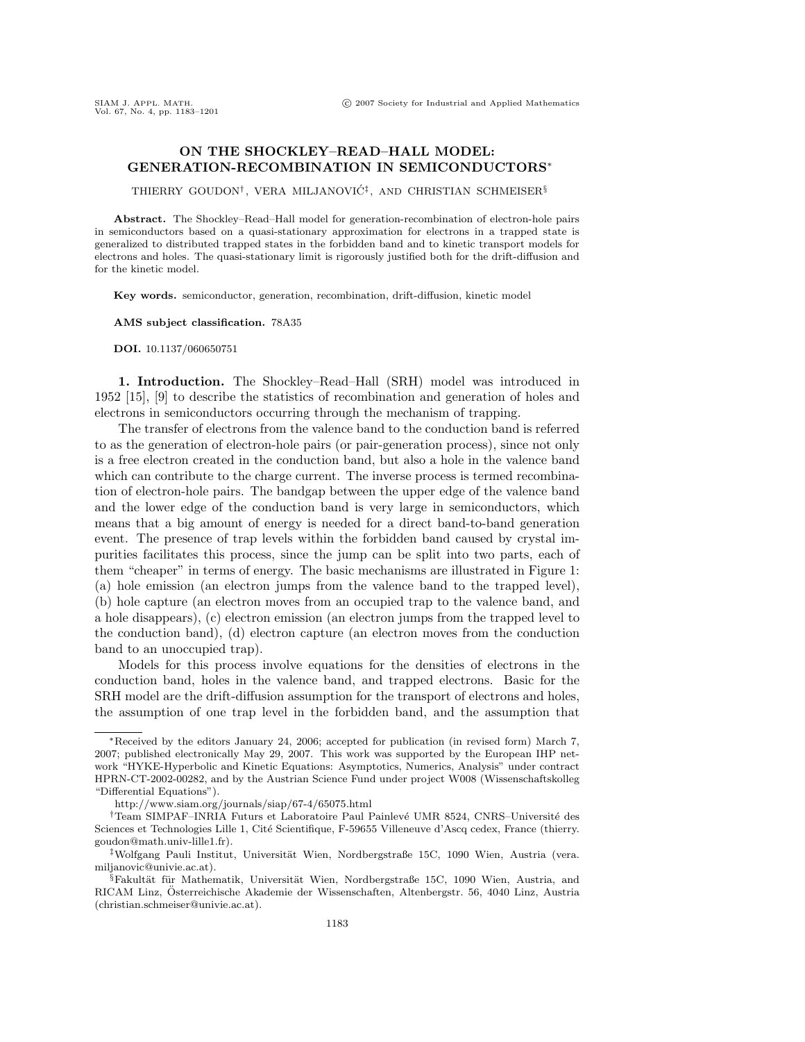## **ON THE SHOCKLEY–READ–HALL MODEL: GENERATION-RECOMBINATION IN SEMICONDUCTORS**∗

THIERRY GOUDON<sup>†</sup>, VERA MILJANOVIĆ<sup>‡</sup>, AND CHRISTIAN SCHMEISER<sup>§</sup>

**Abstract.** The Shockley–Read–Hall model for generation-recombination of electron-hole pairs in semiconductors based on a quasi-stationary approximation for electrons in a trapped state is generalized to distributed trapped states in the forbidden band and to kinetic transport models for electrons and holes. The quasi-stationary limit is rigorously justified both for the drift-diffusion and for the kinetic model.

**Key words.** semiconductor, generation, recombination, drift-diffusion, kinetic model

**AMS subject classification.** 78A35

**DOI.** 10.1137/060650751

**1. Introduction.** The Shockley–Read–Hall (SRH) model was introduced in 1952 [15], [9] to describe the statistics of recombination and generation of holes and electrons in semiconductors occurring through the mechanism of trapping.

The transfer of electrons from the valence band to the conduction band is referred to as the generation of electron-hole pairs (or pair-generation process), since not only is a free electron created in the conduction band, but also a hole in the valence band which can contribute to the charge current. The inverse process is termed recombination of electron-hole pairs. The bandgap between the upper edge of the valence band and the lower edge of the conduction band is very large in semiconductors, which means that a big amount of energy is needed for a direct band-to-band generation event. The presence of trap levels within the forbidden band caused by crystal impurities facilitates this process, since the jump can be split into two parts, each of them "cheaper" in terms of energy. The basic mechanisms are illustrated in Figure 1: (a) hole emission (an electron jumps from the valence band to the trapped level), (b) hole capture (an electron moves from an occupied trap to the valence band, and a hole disappears), (c) electron emission (an electron jumps from the trapped level to the conduction band), (d) electron capture (an electron moves from the conduction band to an unoccupied trap).

Models for this process involve equations for the densities of electrons in the conduction band, holes in the valence band, and trapped electrons. Basic for the SRH model are the drift-diffusion assumption for the transport of electrons and holes, the assumption of one trap level in the forbidden band, and the assumption that

<sup>∗</sup>Received by the editors January 24, 2006; accepted for publication (in revised form) March 7, 2007; published electronically May 29, 2007. This work was supported by the European IHP network "HYKE-Hyperbolic and Kinetic Equations: Asymptotics, Numerics, Analysis" under contract HPRN-CT-2002-00282, and by the Austrian Science Fund under project W008 (Wissenschaftskolleg "Differential Equations").

http://www.siam.org/journals/siap/67-4/65075.html

<sup>&</sup>lt;sup>†</sup>Team SIMPAF–INRIA Futurs et Laboratoire Paul Painlevé UMR 8524, CNRS–Université des Sciences et Technologies Lille 1, Cité Scientifique, F-59655 Villeneuve d'Ascq cedex, France (thierry. goudon@math.univ-lille1.fr).

<sup>&</sup>lt;sup>‡</sup>Wolfgang Pauli Institut, Universität Wien, Nordbergstraße 15C, 1090 Wien, Austria (vera. milianovic@univie.ac.at).

 $\S$ Fakultät für Mathematik, Universität Wien, Nordbergstraße 15C, 1090 Wien, Austria, and RICAM Linz, Osterreichische Akademie der Wissenschaften, Altenbergstr. 56, 4040 Linz, Austria ¨ (christian.schmeiser@univie.ac.at).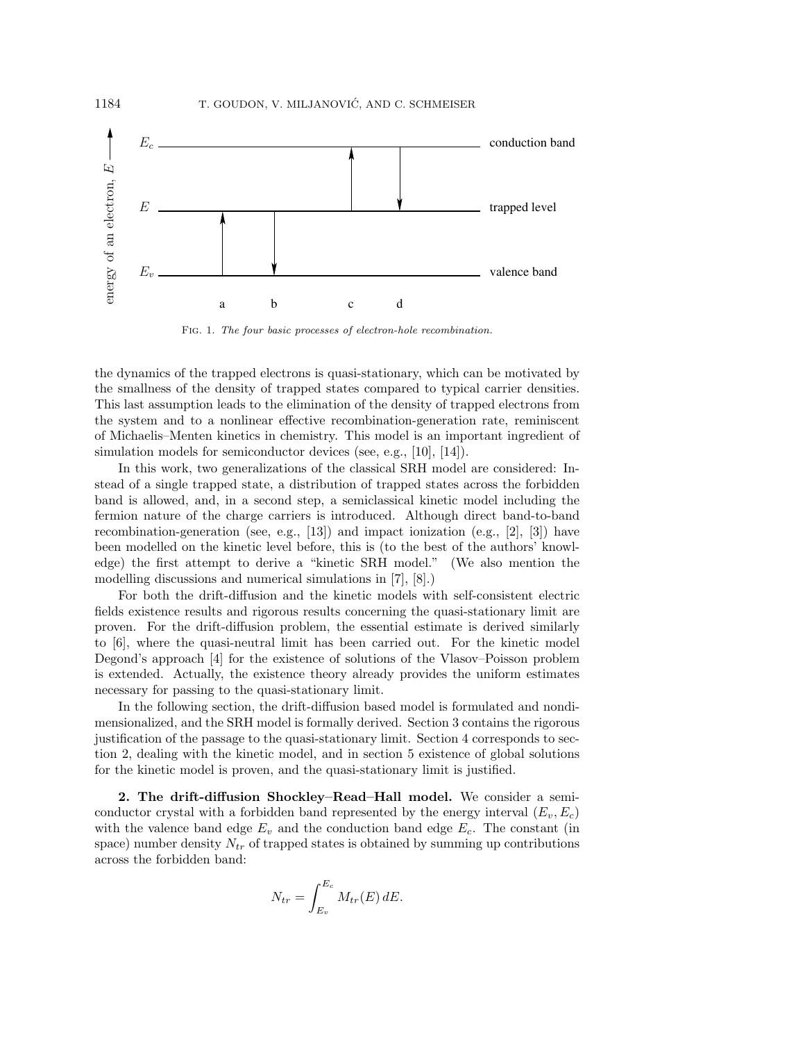

Fig. 1. The four basic processes of electron-hole recombination.

the dynamics of the trapped electrons is quasi-stationary, which can be motivated by the smallness of the density of trapped states compared to typical carrier densities. This last assumption leads to the elimination of the density of trapped electrons from the system and to a nonlinear effective recombination-generation rate, reminiscent of Michaelis–Menten kinetics in chemistry. This model is an important ingredient of simulation models for semiconductor devices (see, e.g., [10], [14]).

In this work, two generalizations of the classical SRH model are considered: Instead of a single trapped state, a distribution of trapped states across the forbidden band is allowed, and, in a second step, a semiclassical kinetic model including the fermion nature of the charge carriers is introduced. Although direct band-to-band recombination-generation (see, e.g.,  $[13]$ ) and impact ionization (e.g.,  $[2]$ ,  $[3]$ ) have been modelled on the kinetic level before, this is (to the best of the authors' knowledge) the first attempt to derive a "kinetic SRH model." (We also mention the modelling discussions and numerical simulations in [7], [8].)

For both the drift-diffusion and the kinetic models with self-consistent electric fields existence results and rigorous results concerning the quasi-stationary limit are proven. For the drift-diffusion problem, the essential estimate is derived similarly to [6], where the quasi-neutral limit has been carried out. For the kinetic model Degond's approach [4] for the existence of solutions of the Vlasov–Poisson problem is extended. Actually, the existence theory already provides the uniform estimates necessary for passing to the quasi-stationary limit.

In the following section, the drift-diffusion based model is formulated and nondimensionalized, and the SRH model is formally derived. Section 3 contains the rigorous justification of the passage to the quasi-stationary limit. Section 4 corresponds to section 2, dealing with the kinetic model, and in section 5 existence of global solutions for the kinetic model is proven, and the quasi-stationary limit is justified.

**2. The drift-diffusion Shockley–Read–Hall model.** We consider a semiconductor crystal with a forbidden band represented by the energy interval  $(E_v, E_c)$ with the valence band edge  $E_v$  and the conduction band edge  $E_c$ . The constant (in space) number density  $N_{tr}$  of trapped states is obtained by summing up contributions across the forbidden band:

$$
N_{tr} = \int_{E_v}^{E_c} M_{tr}(E) dE.
$$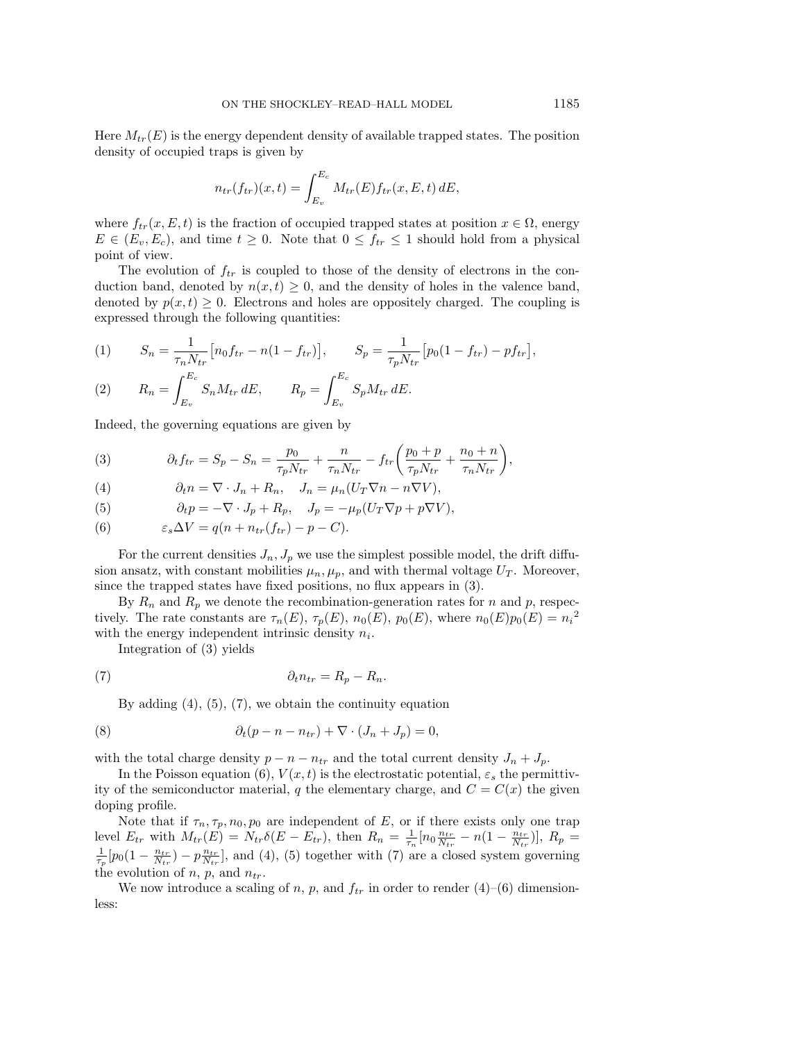Here  $M_{tr}(E)$  is the energy dependent density of available trapped states. The position density of occupied traps is given by

$$
n_{tr}(f_{tr})(x,t) = \int_{E_v}^{E_c} M_{tr}(E) f_{tr}(x,E,t) \, dE,
$$

where  $f_{tr}(x, E, t)$  is the fraction of occupied trapped states at position  $x \in \Omega$ , energy  $E \in (E_v, E_c)$ , and time  $t \geq 0$ . Note that  $0 \leq f_{tr} \leq 1$  should hold from a physical point of view.

The evolution of  $f_{tr}$  is coupled to those of the density of electrons in the conduction band, denoted by  $n(x, t) \geq 0$ , and the density of holes in the valence band, denoted by  $p(x, t) \geq 0$ . Electrons and holes are oppositely charged. The coupling is expressed through the following quantities:

(1) 
$$
S_n = \frac{1}{\tau_n N_{tr}} [n_0 f_{tr} - n(1 - f_{tr})], \qquad S_p = \frac{1}{\tau_p N_{tr}} [p_0 (1 - f_{tr}) - p f_{tr}],
$$

$$
(2) \qquad R_n = \int_{E_v}^{E_c} S_n M_{tr} dE, \qquad R_p = \int_{E_v}^{E_c} S_p M_{tr} dE.
$$

Indeed, the governing equations are given by

(3) 
$$
\partial_{t} f_{tr} = S_{p} - S_{n} = \frac{p_{0}}{\tau_{p} N_{tr}} + \frac{n}{\tau_{n} N_{tr}} - f_{tr} \left( \frac{p_{0} + p}{\tau_{p} N_{tr}} + \frac{n_{0} + n}{\tau_{n} N_{tr}} \right),
$$

(4) 
$$
\partial_t n = \nabla \cdot J_n + R_n, \quad J_n = \mu_n (U_T \nabla n - n \nabla V),
$$

(5) 
$$
\partial_t p = -\nabla \cdot J_p + R_p, \quad J_p = -\mu_p (U_T \nabla p + p \nabla V),
$$

(6) 
$$
\varepsilon_s \Delta V = q(n + n_{tr}(f_{tr}) - p - C).
$$

For the current densities  $J_n, J_p$  we use the simplest possible model, the drift diffusion ansatz, with constant mobilities  $\mu_n, \mu_p$ , and with thermal voltage  $U_T$ . Moreover, since the trapped states have fixed positions, no flux appears in (3).

By  $R_n$  and  $R_p$  we denote the recombination-generation rates for n and p, respectively. The rate constants are  $\tau_n(E)$ ,  $\tau_p(E)$ ,  $n_0(E)$ ,  $p_0(E)$ , where  $n_0(E)p_0(E) = n_i^2$ with the energy independent intrinsic density  $n_i$ .

Integration of (3) yields

$$
(7) \t\t\t\t\t\t\partial_t n_{tr} = R_p - R_n.
$$

By adding  $(4)$ ,  $(5)$ ,  $(7)$ , we obtain the continuity equation

(8) 
$$
\partial_t (p - n - n_{tr}) + \nabla \cdot (J_n + J_p) = 0,
$$

with the total charge density  $p - n - n_{tr}$  and the total current density  $J_n + J_p$ .

In the Poisson equation (6),  $V(x,t)$  is the electrostatic potential,  $\varepsilon_s$  the permittivity of the semiconductor material, q the elementary charge, and  $C = C(x)$  the given doping profile.

Note that if  $\tau_n, \tau_p, n_0, p_0$  are independent of E, or if there exists only one trap level  $E_{tr}$  with  $M_{tr}(\vec{E}) = N_{tr} \delta(E - E_{tr})$ , then  $R_n = \frac{1}{\tau_n} [n_0 \frac{n_{tr}}{N_{tr}} - n(1 - \frac{n_{tr}}{N_{tr}})], R_p = \frac{1}{\tau_n} [n_0 (1 - \frac{n_{tr}}{N_{tr}}) - n \frac{n_{tr}}{N_{tr}}]$  and (4) (5) together with (7) are a closed system governing  $\frac{1}{\tau_p} [p_0(1 - \frac{n_{tr}}{N_{tr}}) - p\frac{n_{tr}}{N_{tr}}]$ , and (4), (5) together with (7) are a closed system governing the evolution of  $n, p$ , and  $n_{tr}$ .

We now introduce a scaling of n, p, and  $f_{tr}$  in order to render (4)–(6) dimensionless: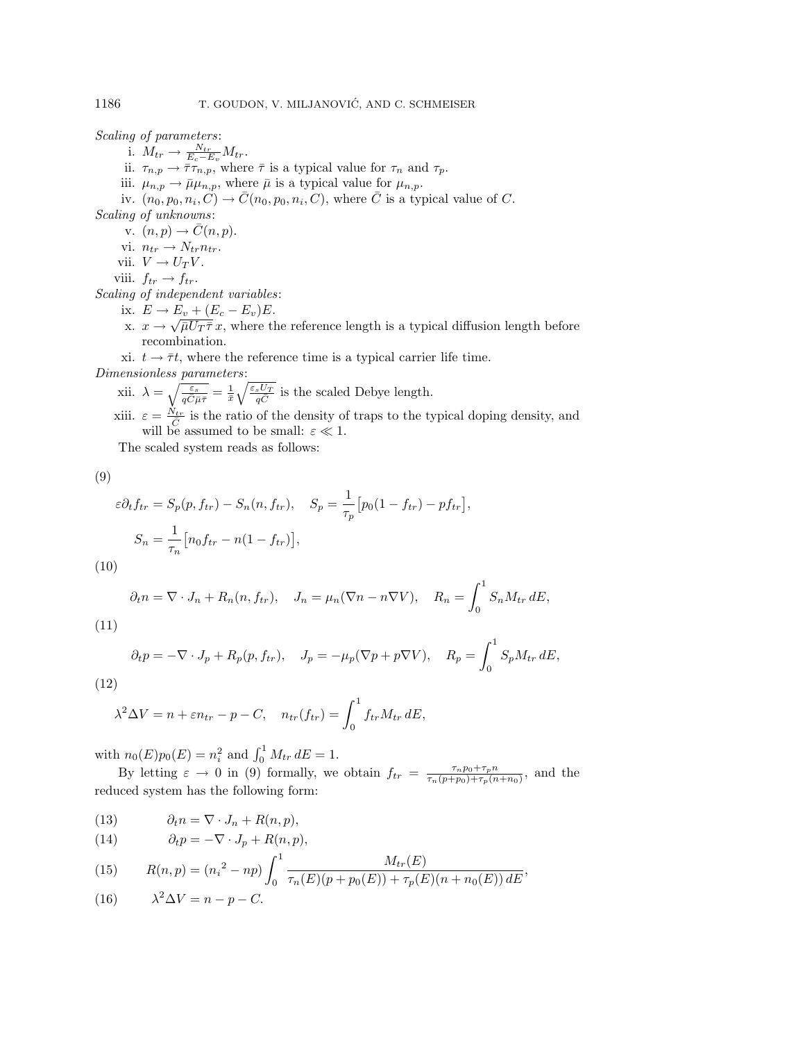Scaling of parameters:

i.  $M_{tr} \rightarrow \frac{N_{tr}}{E_c - E_v} M_{tr}$ .<br>ii.  $\tau_{n,p} \rightarrow \overline{\tau} \tau_{n,p}$ , where  $\overline{\tau}$  is a typical value for  $\tau_n$  and  $\tau_p$ .

iii.  $\mu_{n,p} \to \bar{\mu} \mu_{n,p}$ , where  $\bar{\mu}$  is a typical value for  $\mu_{n,p}$ .

iv.  $(n_0, p_0, n_i, C) \rightarrow \overline{C}(n_0, p_0, n_i, C)$ , where  $\overline{C}$  is a typical value of C. Scaling of unknowns:

v.  $(n, p) \rightarrow \overline{C}(n, p)$ .

vi.  $n_{tr} \rightarrow N_{tr} n_{tr}$ .

vii.  $V \to U_T V$ .

viii.  $f_{tr} \rightarrow f_{tr}$ .

Scaling of independent variables:

ix.  $E \rightarrow E_v + (E_c - E_v)E$ .

x.  $x \to \sqrt{\overline{\mu}U_T\overline{\tau}}x$ , where the reference length is a typical diffusion length before recombination.

xi.  $t \rightarrow \bar{\tau}t$ , where the reference time is a typical carrier life time.

Dimensionless parameters:

xii.  $\lambda = \sqrt{\frac{\varepsilon_s}{q\bar{C}}\mu\bar{\tau}} = \frac{1}{\bar{x}}\sqrt{\frac{\varepsilon_s U_T}{q\bar{C}}}$  is the scaled Debye length. xiii.  $\varepsilon = \frac{N_{tr}}{\bar{C}}$  is the ratio of the density of traps to the typical doping density, and will be assumed to be small:  $\varepsilon \ll 1$ .

The scaled system reads as follows:

(9)

$$
\varepsilon \partial_t f_{tr} = S_p(p, f_{tr}) - S_n(n, f_{tr}), \quad S_p = \frac{1}{\tau_p} \left[ p_0(1 - f_{tr}) - p f_{tr} \right],
$$

$$
S_n = \frac{1}{\tau_n} \left[ n_0 f_{tr} - n(1 - f_{tr}) \right],
$$

(10)

$$
\partial_t n = \nabla \cdot J_n + R_n(n, f_{tr}), \quad J_n = \mu_n(\nabla n - n\nabla V), \quad R_n = \int_0^1 S_n M_{tr} \, dE,
$$

(11)

$$
\partial_t p = -\nabla \cdot J_p + R_p(p, f_{tr}), \quad J_p = -\mu_p(\nabla p + p\nabla V), \quad R_p = \int_0^1 S_p M_{tr} dE,
$$

$$
(12)
$$

$$
\lambda^2 \Delta V = n + \varepsilon n_{tr} - p - C, \quad n_{tr}(f_{tr}) = \int_0^1 f_{tr} M_{tr} \, dE,
$$

with  $n_0(E)p_0(E) = n_i^2$  and  $\int_0^1 M_{tr} dE = 1$ .

By letting  $\varepsilon \to 0$  in (9) formally, we obtain  $f_{tr} = \frac{\tau_n p_0 + \tau_p n}{\tau_n (p + p_0) + \tau_p (n + n_0)},$  and the reduced system has the following form:

(13)  $\partial_t n = \nabla \cdot J_n + R(n, p),$ 

(14) 
$$
\partial_t p = -\nabla \cdot J_p + R(n, p),
$$

(15) 
$$
R(n,p) = (n_i^2 - np) \int_0^1 \frac{M_{tr}(E)}{\tau_n(E)(p + p_0(E)) + \tau_p(E)(n + n_0(E)) dE},
$$

(16) 
$$
\lambda^2 \Delta V = n - p - C.
$$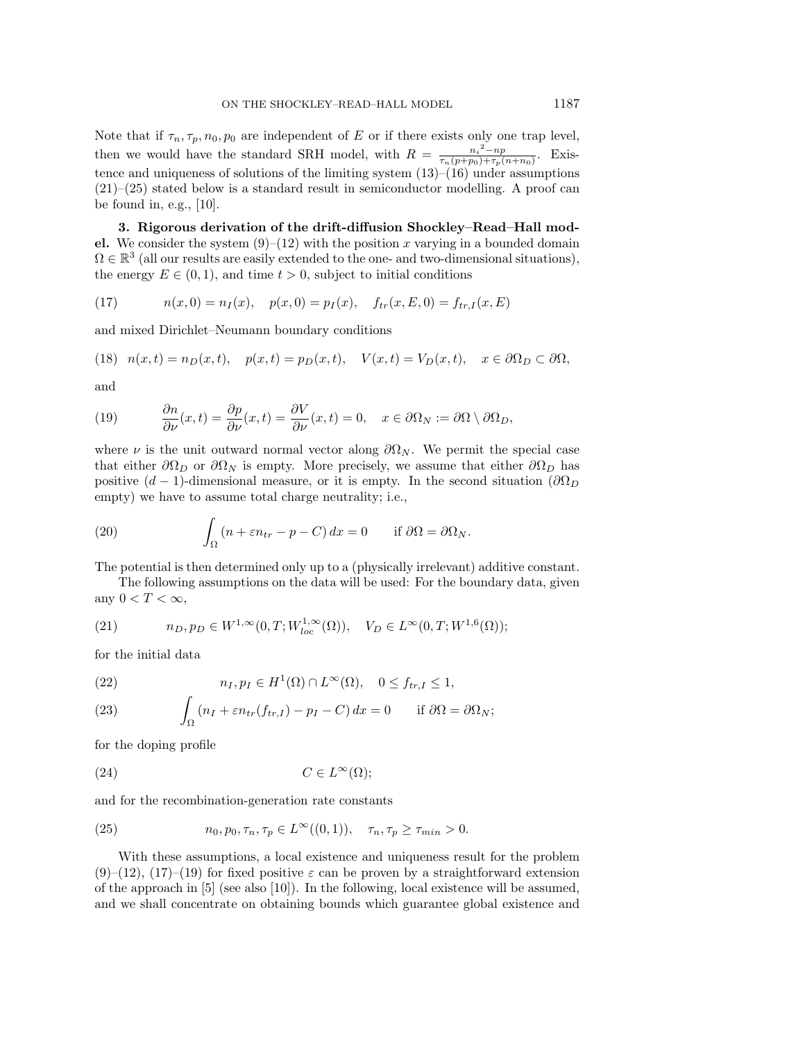Note that if  $\tau_n, \tau_p, n_0, p_0$  are independent of E or if there exists only one trap level, then we would have the standard SRH model, with  $R = \frac{n_i^2 - np}{\tau_n (p+p_0) + \tau_p (n+n_0)}$ . Existence and uniqueness of solutions of the limiting system  $(13)$ – $(16)$  under assumptions (21)–(25) stated below is a standard result in semiconductor modelling. A proof can be found in, e.g., [10].

**3. Rigorous derivation of the drift-diffusion Shockley–Read–Hall model.** We consider the system  $(9)$ – $(12)$  with the position x varying in a bounded domain  $\Omega \in \mathbb{R}^3$  (all our results are easily extended to the one- and two-dimensional situations), the energy  $E \in (0, 1)$ , and time  $t > 0$ , subject to initial conditions

(17) 
$$
n(x,0) = n_I(x), \quad p(x,0) = p_I(x), \quad f_{tr}(x,E,0) = f_{tr,I}(x,E)
$$

and mixed Dirichlet–Neumann boundary conditions

(18) 
$$
n(x,t) = n_D(x,t)
$$
,  $p(x,t) = p_D(x,t)$ ,  $V(x,t) = V_D(x,t)$ ,  $x \in \partial \Omega_D \subset \partial \Omega$ ,

and

(19) 
$$
\frac{\partial n}{\partial \nu}(x,t) = \frac{\partial p}{\partial \nu}(x,t) = \frac{\partial V}{\partial \nu}(x,t) = 0, \quad x \in \partial \Omega_N := \partial \Omega \setminus \partial \Omega_D,
$$

where  $\nu$  is the unit outward normal vector along  $\partial\Omega_N$ . We permit the special case that either  $\partial\Omega_D$  or  $\partial\Omega_N$  is empty. More precisely, we assume that either  $\partial\Omega_D$  has positive  $(d-1)$ -dimensional measure, or it is empty. In the second situation  $(\partial \Omega_D)$ empty) we have to assume total charge neutrality; i.e.,

(20) 
$$
\int_{\Omega} (n + \varepsilon n_{tr} - p - C) dx = 0 \quad \text{if } \partial \Omega = \partial \Omega_N.
$$

The potential is then determined only up to a (physically irrelevant) additive constant.

The following assumptions on the data will be used: For the boundary data, given any  $0 < T < \infty$ ,

(21) 
$$
n_D, p_D \in W^{1,\infty}(0,T;W^{1,\infty}_{loc}(\Omega)), \quad V_D \in L^{\infty}(0,T;W^{1,6}(\Omega));
$$

for the initial data

(22) 
$$
n_I, p_I \in H^1(\Omega) \cap L^{\infty}(\Omega), \quad 0 \le f_{tr,I} \le 1,
$$

(23) 
$$
\int_{\Omega} (n_I + \varepsilon n_{tr}(f_{tr,I}) - p_I - C) dx = 0 \quad \text{if } \partial \Omega = \partial \Omega_N;
$$

for the doping profile

$$
(24) \tC \in L^{\infty}(\Omega);
$$

and for the recombination-generation rate constants

(25) 
$$
n_0, p_0, \tau_n, \tau_p \in L^{\infty}((0,1)), \quad \tau_n, \tau_p \ge \tau_{min} > 0.
$$

With these assumptions, a local existence and uniqueness result for the problem  $(9)$ – $(12)$ ,  $(17)$ – $(19)$  for fixed positive  $\varepsilon$  can be proven by a straightforward extension of the approach in [5] (see also [10]). In the following, local existence will be assumed, and we shall concentrate on obtaining bounds which guarantee global existence and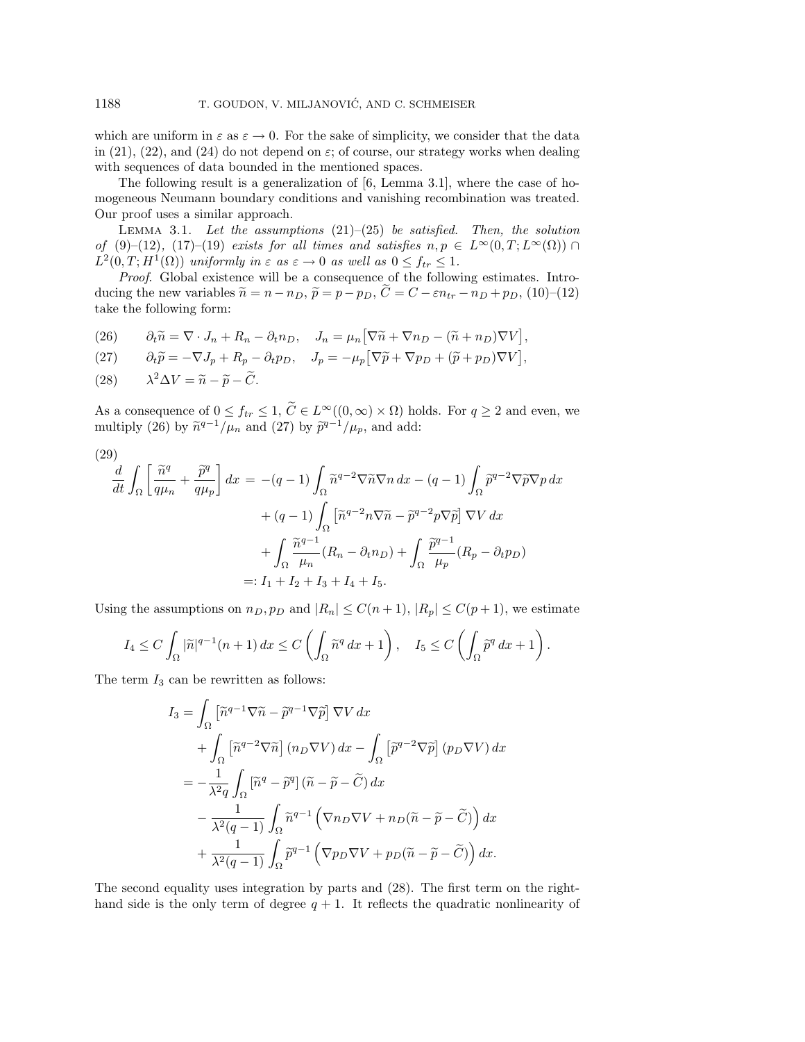which are uniform in  $\varepsilon$  as  $\varepsilon \to 0$ . For the sake of simplicity, we consider that the data in (21), (22), and (24) do not depend on  $\varepsilon$ ; of course, our strategy works when dealing with sequences of data bounded in the mentioned spaces.

The following result is a generalization of [6, Lemma 3.1], where the case of homogeneous Neumann boundary conditions and vanishing recombination was treated. Our proof uses a similar approach.

LEMMA 3.1. Let the assumptions  $(21)$ – $(25)$  be satisfied. Then, the solution of (9)–(12), (17)–(19) exists for all times and satisfies  $n, p \in L^{\infty}(0,T; L^{\infty}(\Omega)) \cap$  $L^2(0,T;H^1(\Omega))$  uniformly in  $\varepsilon$  as  $\varepsilon \to 0$  as well as  $0 \le f_{tr} \le 1$ .

Proof. Global existence will be a consequence of the following estimates. Introducing the new variables  $\widetilde{n} = n - n_D$ ,  $\widetilde{p} = p - p_D$ ,  $\widetilde{C} = C - \varepsilon n_{tr} - n_D + p_D$ , (10)–(12) take the following form:

(26)  $\partial_t \tilde{n} = \nabla \cdot J_n + R_n - \partial_t n_D, \quad J_n = \mu_n \left[ \nabla \tilde{n} + \nabla n_D - (\tilde{n} + n_D) \nabla V \right],$ 

(27) 
$$
\partial_t \widetilde{p} = -\nabla J_p + R_p - \partial_t p_D, \quad J_p = -\mu_p \left[ \nabla \widetilde{p} + \nabla p_D + (\widetilde{p} + p_D) \nabla V \right],
$$

(28) 
$$
\lambda^2 \Delta V = \widetilde{n} - \widetilde{p} - \widetilde{C}.
$$

As a consequence of  $0 \le f_{tr} \le 1$ ,  $C \in L^{\infty}((0,\infty) \times \Omega)$  holds. For  $q \ge 2$  and even, we multiply (26) by  $\widetilde{n}^{q-1}/\mu_n$  and (27) by  $\widetilde{p}^{q-1}/\mu_p$ , and add:

$$
(29)
$$

$$
\frac{d}{dt} \int_{\Omega} \left[ \frac{\tilde{n}^q}{q\mu_n} + \frac{\tilde{p}^q}{q\mu_p} \right] dx = -(q-1) \int_{\Omega} \tilde{n}^{q-2} \nabla \tilde{n} \nabla n \, dx - (q-1) \int_{\Omega} \tilde{p}^{q-2} \nabla \tilde{p} \nabla p \, dx
$$

$$
+ (q-1) \int_{\Omega} \left[ \tilde{n}^{q-2} n \nabla \tilde{n} - \tilde{p}^{q-2} p \nabla \tilde{p} \right] \nabla V \, dx
$$

$$
+ \int_{\Omega} \frac{\tilde{n}^{q-1}}{\mu_n} (R_n - \partial_t n_D) + \int_{\Omega} \frac{\tilde{p}^{q-1}}{\mu_p} (R_p - \partial_t p_D)
$$

$$
=: I_1 + I_2 + I_3 + I_4 + I_5.
$$

Using the assumptions on  $n_D, p_D$  and  $|R_n| \leq C(n+1)$ ,  $|R_n| \leq C(p+1)$ , we estimate

$$
I_4 \leq C \int_{\Omega} |\widetilde{n}|^{q-1} (n+1) \, dx \leq C \left( \int_{\Omega} \widetilde{n}^q \, dx + 1 \right), \quad I_5 \leq C \left( \int_{\Omega} \widetilde{p}^q \, dx + 1 \right).
$$

The term  $I_3$  can be rewritten as follows:

$$
I_3 = \int_{\Omega} \left[ \tilde{n}^{q-1} \nabla \tilde{n} - \tilde{p}^{q-1} \nabla \tilde{p} \right] \nabla V dx
$$
  
+ 
$$
\int_{\Omega} \left[ \tilde{n}^{q-2} \nabla \tilde{n} \right] (n_D \nabla V) dx - \int_{\Omega} \left[ \tilde{p}^{q-2} \nabla \tilde{p} \right] (p_D \nabla V) dx
$$
  
= 
$$
-\frac{1}{\lambda^2 q} \int_{\Omega} \left[ \tilde{n}^q - \tilde{p}^q \right] (\tilde{n} - \tilde{p} - \tilde{C}) dx
$$
  

$$
-\frac{1}{\lambda^2 (q-1)} \int_{\Omega} \tilde{n}^{q-1} \left( \nabla n_D \nabla V + n_D (\tilde{n} - \tilde{p} - \tilde{C}) \right) dx
$$
  
+ 
$$
\frac{1}{\lambda^2 (q-1)} \int_{\Omega} \tilde{p}^{q-1} \left( \nabla p_D \nabla V + p_D (\tilde{n} - \tilde{p} - \tilde{C}) \right) dx.
$$

The second equality uses integration by parts and (28). The first term on the righthand side is the only term of degree  $q + 1$ . It reflects the quadratic nonlinearity of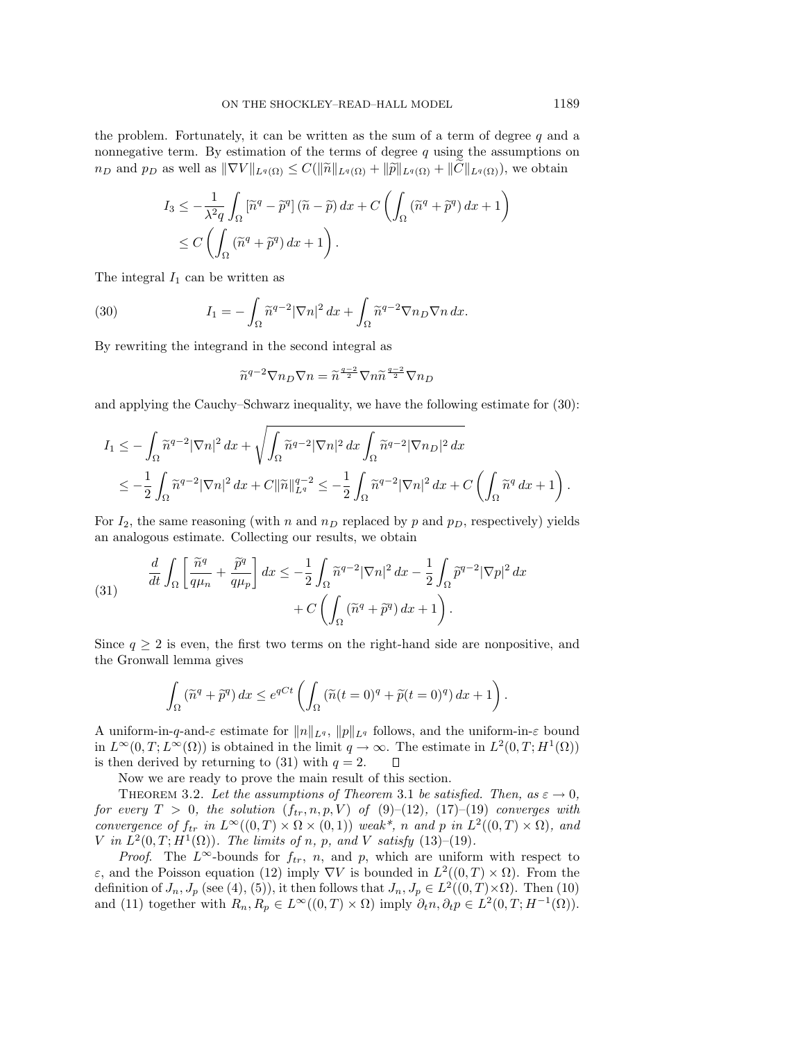the problem. Fortunately, it can be written as the sum of a term of degree  $q$  and a nonnegative term. By estimation of the terms of degree  $q$  using the assumptions on  $n_D$  and  $p_D$  as well as  $\|\nabla V\|_{L^q(\Omega)} \leq C(\|\tilde{n}\|_{L^q(\Omega)} + \|\tilde{p}\|_{L^q(\Omega)} + \|C\|_{L^q(\Omega)})$ , we obtain

$$
I_3 \leq -\frac{1}{\lambda^2 q} \int_{\Omega} \left[ \tilde{n}^q - \tilde{p}^q \right] (\tilde{n} - \tilde{p}) dx + C \left( \int_{\Omega} (\tilde{n}^q + \tilde{p}^q) dx + 1 \right)
$$
  

$$
\leq C \left( \int_{\Omega} (\tilde{n}^q + \tilde{p}^q) dx + 1 \right).
$$

The integral  $I_1$  can be written as

(30) 
$$
I_1 = -\int_{\Omega} \widetilde{n}^{q-2} |\nabla n|^2 dx + \int_{\Omega} \widetilde{n}^{q-2} \nabla n_D \nabla n dx.
$$

By rewriting the integrand in the second integral as

$$
\widetilde{n}^{q-2} \nabla n_D \nabla n = \widetilde{n}^{\frac{q-2}{2}} \nabla n \widetilde{n}^{\frac{q-2}{2}} \nabla n_D
$$

and applying the Cauchy–Schwarz inequality, we have the following estimate for (30):

$$
I_1 \leq -\int_{\Omega} \widetilde{n}^{q-2} |\nabla n|^2 dx + \sqrt{\int_{\Omega} \widetilde{n}^{q-2} |\nabla n|^2 dx \int_{\Omega} \widetilde{n}^{q-2} |\nabla n_D|^2 dx} \n\leq -\frac{1}{2} \int_{\Omega} \widetilde{n}^{q-2} |\nabla n|^2 dx + C ||\widetilde{n}||_{L^q}^{q-2} \leq -\frac{1}{2} \int_{\Omega} \widetilde{n}^{q-2} |\nabla n|^2 dx + C \left( \int_{\Omega} \widetilde{n}^q dx + 1 \right).
$$

For  $I_2$ , the same reasoning (with n and  $n_D$  replaced by p and  $p_D$ , respectively) yields an analogous estimate. Collecting our results, we obtain

(31) 
$$
\frac{d}{dt} \int_{\Omega} \left[ \frac{\tilde{n}^q}{q\mu_n} + \frac{\tilde{p}^q}{q\mu_p} \right] dx \leq -\frac{1}{2} \int_{\Omega} \tilde{n}^{q-2} |\nabla n|^2 dx - \frac{1}{2} \int_{\Omega} \tilde{p}^{q-2} |\nabla p|^2 dx + C \left( \int_{\Omega} (\tilde{n}^q + \tilde{p}^q) dx + 1 \right).
$$

Since  $q \geq 2$  is even, the first two terms on the right-hand side are nonpositive, and the Gronwall lemma gives

$$
\int_{\Omega} \left( \widetilde{n}^q + \widetilde{p}^q \right) dx \le e^{qCt} \left( \int_{\Omega} \left( \widetilde{n}(t=0)^q + \widetilde{p}(t=0)^q \right) dx + 1 \right).
$$

A uniform-in-q-and- $\varepsilon$  estimate for  $||n||_{Lq}$ ,  $||p||_{Lq}$  follows, and the uniform-in- $\varepsilon$  bound in  $L^{\infty}(0,T;L^{\infty}(\Omega))$  is obtained in the limit  $q \to \infty$ . The estimate in  $L^2(0,T;H^1(\Omega))$ is then derived by returning to (31) with  $q = 2$ . □

Now we are ready to prove the main result of this section.

THEOREM 3.2. Let the assumptions of Theorem 3.1 be satisfied. Then, as  $\varepsilon \to 0$ , for every  $T > 0$ , the solution  $(f_{tr}, n, p, V)$  of  $(9)$ – $(12)$ ,  $(17)$ – $(19)$  converges with convergence of  $f_{tr}$  in  $L^{\infty}((0,T) \times \Omega \times (0,1))$  weak\*, n and p in  $L^2((0,T) \times \Omega)$ , and V in  $L^2(0,T;H^1(\Omega))$ . The limits of n, p, and V satisfy  $(13)-(19)$ .

*Proof.* The L<sup>∞</sup>-bounds for  $f_{tr}$ , n, and p, which are uniform with respect to ε, and the Poisson equation (12) imply  $\nabla V$  is bounded in  $L^2((0,T) \times \Omega)$ . From the definition of  $J_n$ ,  $J_p$  (see (4), (5)), it then follows that  $J_n$ ,  $J_p \in L^2((0,T)\times\Omega)$ . Then (10) and (11) together with  $R_n, R_p \in L^{\infty}((0,T) \times \Omega)$  imply  $\partial_t n, \partial_t p \in L^2(0,T; H^{-1}(\Omega))$ .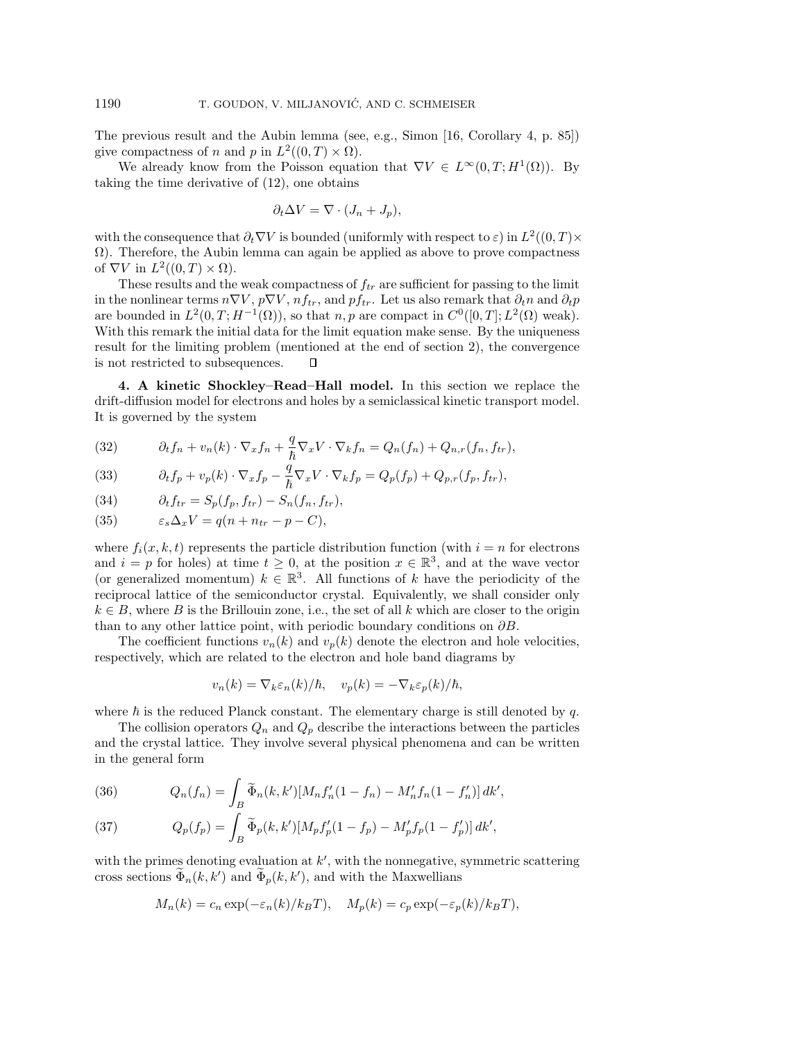The previous result and the Aubin lemma (see, e.g., Simon [16, Corollary 4, p. 85]) give compactness of n and p in  $L^2((0,T)\times\Omega)$ .

We already know from the Poisson equation that  $\nabla V \in L^{\infty}(0,T;H^1(\Omega))$ . By taking the time derivative of (12), one obtains

$$
\partial_t \Delta V = \nabla \cdot (J_n + J_p),
$$

with the consequence that  $\partial_t \nabla V$  is bounded (uniformly with respect to  $\varepsilon$ ) in  $L^2((0,T)\times$  $\Omega$ ). Therefore, the Aubin lemma can again be applied as above to prove compactness of  $\nabla V$  in  $L^2((0,T)\times\Omega)$ .

These results and the weak compactness of  $f_{tr}$  are sufficient for passing to the limit in the nonlinear terms  $n\nabla V$ ,  $p\nabla V$ ,  $nf_{tr}$ , and  $pf_{tr}$ . Let us also remark that  $\partial_t n$  and  $\partial_t p$ are bounded in  $L^2(0,T;H^{-1}(\Omega))$ , so that n, p are compact in  $C^0([0,T];L^2(\Omega))$  weak). With this remark the initial data for the limit equation make sense. By the uniqueness result for the limiting problem (mentioned at the end of section 2), the convergence is not restricted to subsequences. D.

**4. A kinetic Shockley–Read–Hall model.** In this section we replace the drift-diffusion model for electrons and holes by a semiclassical kinetic transport model. It is governed by the system

(32) 
$$
\partial_t f_n + v_n(k) \cdot \nabla_x f_n + \frac{q}{\hbar} \nabla_x V \cdot \nabla_k f_n = Q_n(f_n) + Q_{n,r}(f_n, f_{tr}),
$$

(33) 
$$
\partial_t f_p + v_p(k) \cdot \nabla_x f_p - \frac{q}{\hbar} \nabla_x V \cdot \nabla_k f_p = Q_p(f_p) + Q_{p,r}(f_p, f_{tr}),
$$

(34) 
$$
\partial_t f_{tr} = S_p(f_p, f_{tr}) - S_n(f_n, f_{tr}),
$$

(35) 
$$
\varepsilon_s \Delta_x V = q(n + n_{tr} - p - C),
$$

where  $f_i(x, k, t)$  represents the particle distribution function (with  $i = n$  for electrons and  $i = p$  for holes) at time  $t \geq 0$ , at the position  $x \in \mathbb{R}^3$ , and at the wave vector (or generalized momentum)  $k \in \mathbb{R}^3$ . All functions of k have the periodicity of the reciprocal lattice of the semiconductor crystal. Equivalently, we shall consider only  $k \in B$ , where B is the Brillouin zone, i.e., the set of all k which are closer to the origin than to any other lattice point, with periodic boundary conditions on  $\partial B$ .

The coefficient functions  $v_n(k)$  and  $v_p(k)$  denote the electron and hole velocities, respectively, which are related to the electron and hole band diagrams by

$$
v_n(k) = \nabla_k \varepsilon_n(k)/\hbar, \quad v_p(k) = -\nabla_k \varepsilon_p(k)/\hbar,
$$

where  $\hbar$  is the reduced Planck constant. The elementary charge is still denoted by q.

The collision operators  $Q_n$  and  $Q_p$  describe the interactions between the particles and the crystal lattice. They involve several physical phenomena and can be written in the general form

(36) 
$$
Q_n(f_n) = \int_B \widetilde{\Phi}_n(k, k')[M_n f'_n(1 - f_n) - M'_n f_n(1 - f'_n)] dk',
$$

(37) 
$$
Q_p(f_p) = \int_B \widetilde{\Phi}_p(k, k')[M_p f'_p(1 - f_p) - M'_p f_p(1 - f'_p)] dk',
$$

with the primes denoting evaluation at  $k'$ , with the nonnegative, symmetric scattering cross sections  $\Phi_n(k, k')$  and  $\Phi_p(k, k')$ , and with the Maxwellians

$$
M_n(k) = c_n \exp(-\varepsilon_n(k)/k_B T), \quad M_p(k) = c_p \exp(-\varepsilon_p(k)/k_B T),
$$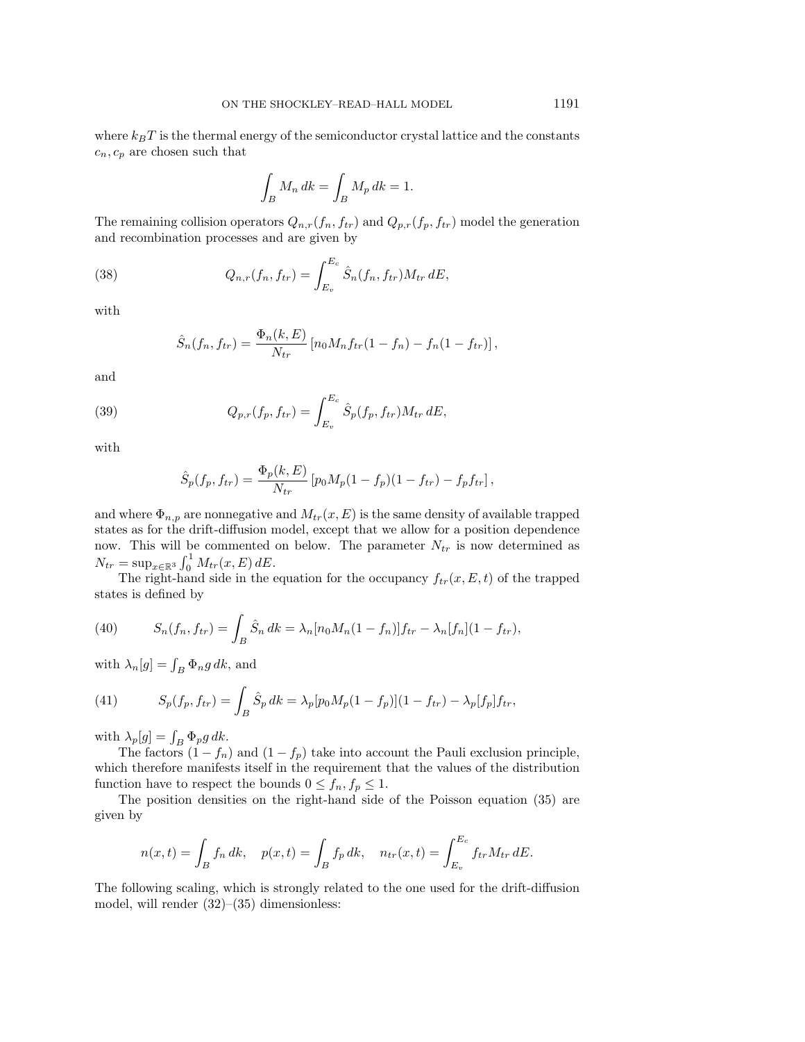where  $k_BT$  is the thermal energy of the semiconductor crystal lattice and the constants  $c_n, c_p$  are chosen such that

$$
\int_B M_n \, dk = \int_B M_p \, dk = 1.
$$

The remaining collision operators  $Q_{n,r}(f_n, f_{tr})$  and  $Q_{p,r}(f_p, f_{tr})$  model the generation and recombination processes and are given by

(38) 
$$
Q_{n,r}(f_n, f_{tr}) = \int_{E_v}^{E_c} \hat{S}_n(f_n, f_{tr}) M_{tr} dE,
$$

with

$$
\hat{S}_n(f_n, f_{tr}) = \frac{\Phi_n(k, E)}{N_{tr}} [n_0 M_n f_{tr} (1 - f_n) - f_n (1 - f_{tr})],
$$

and

(39) 
$$
Q_{p,r}(f_p, f_{tr}) = \int_{E_v}^{E_c} \hat{S}_p(f_p, f_{tr}) M_{tr} dE,
$$

with

$$
\hat{S}_p(f_p, f_{tr}) = \frac{\Phi_p(k, E)}{N_{tr}} [p_0 M_p (1 - f_p)(1 - f_{tr}) - f_p f_{tr}],
$$

and where  $\Phi_{n,p}$  are nonnegative and  $M_{tr}(x, E)$  is the same density of available trapped states as for the drift-diffusion model, except that we allow for a position dependence now. This will be commented on below. The parameter  $N_{tr}$  is now determined as  $N_{tr} = \sup_{x \in \mathbb{R}^3} \int_0^1 M_{tr}(x, E) dE.$ 

The right-hand side in the equation for the occupancy  $f_{tr}(x, E, t)$  of the trapped states is defined by

(40) 
$$
S_n(f_n, f_{tr}) = \int_B \hat{S}_n dk = \lambda_n [n_0 M_n (1 - f_n)] f_{tr} - \lambda_n [f_n] (1 - f_{tr}),
$$

with  $\lambda_n[g] = \int_B \Phi_n g \, dk$ , and

(41) 
$$
S_p(f_p, f_{tr}) = \int_B \hat{S}_p dk = \lambda_p [p_0 M_p (1 - f_p)] (1 - f_{tr}) - \lambda_p [f_p] f_{tr},
$$

with  $\lambda_p[g] = \int_B \Phi_p g \, dk$ .

The factors  $(1 - f_n)$  and  $(1 - f_p)$  take into account the Pauli exclusion principle, which therefore manifests itself in the requirement that the values of the distribution function have to respect the bounds  $0 \le f_n, f_p \le 1$ .

The position densities on the right-hand side of the Poisson equation (35) are given by

$$
n(x,t) = \int_B f_n \, dk, \quad p(x,t) = \int_B f_p \, dk, \quad n_{tr}(x,t) = \int_{E_v}^{E_c} f_{tr} M_{tr} \, dE.
$$

The following scaling, which is strongly related to the one used for the drift-diffusion model, will render (32)–(35) dimensionless: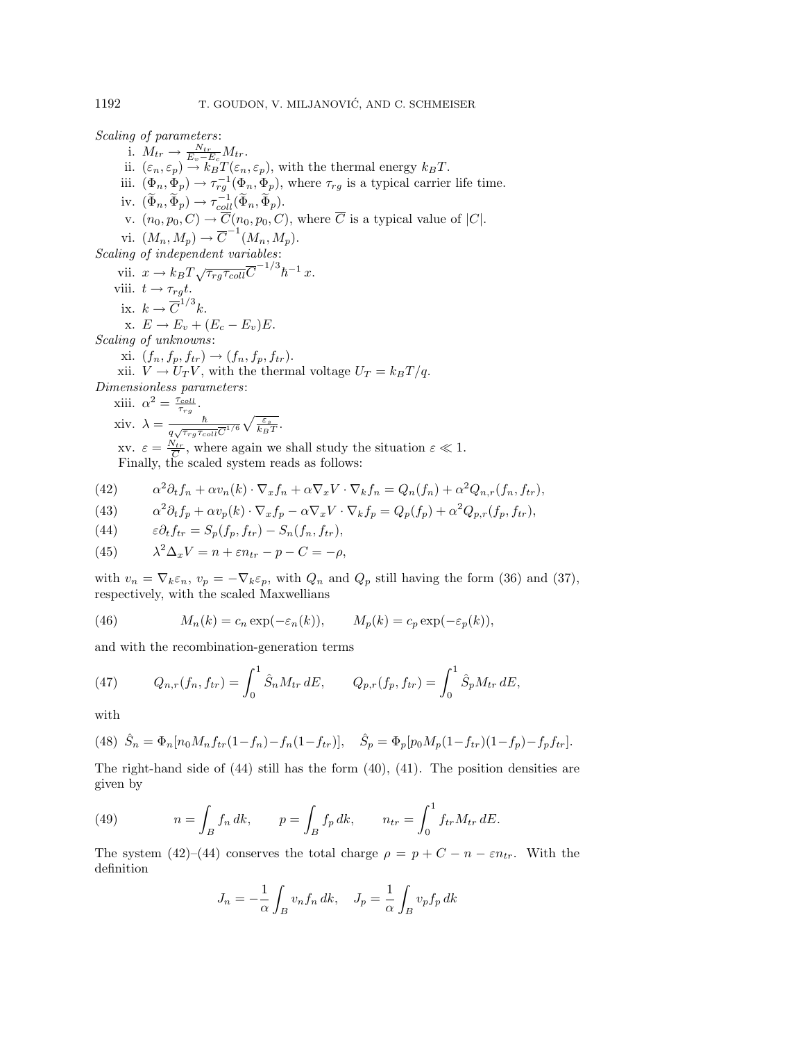Scaling of parameters:

i.  $M_{tr} \rightarrow \frac{N_{tr}}{E_v - E_c} M_{tr}$ . ii.  $(\varepsilon_n, \varepsilon_p) \stackrel{\Sigma_v}{\rightarrow} k_B^c T(\varepsilon_n, \varepsilon_p)$ , with the thermal energy  $k_B T$ . iii.  $(\Phi_n, \Phi_p) \to \tau_{rg}^{-1}(\Phi_n, \Phi_p)$ , where  $\tau_{rg}$  is a typical carrier life time. iv.  $(\widetilde{\Phi}_n, \widetilde{\Phi}_p) \to \tau_{coll}^{-1}(\widetilde{\Phi}_n, \widetilde{\Phi}_p).$ v.  $(n_0, p_0, C) \rightarrow \overline{C}(n_0, p_0, C)$ , where  $\overline{C}$  is a typical value of  $|C|$ . vi.  $(M_n, M_p) \to \overline{C}^{-1}(M_n, M_p).$ Scaling of independent variables: vii.  $x \to k_B T \sqrt{\tau_{rg} \tau_{coll}} \overline{C}^{-1/3} \hbar^{-1} x$ . viii.  $t \rightarrow \tau_{rg}t$ . ix.  $k \to \overline{C}^{1/3}k$ . x.  $E \rightarrow E_v + (E_c - E_v)E$ . Scaling of unknowns: xi.  $(f_n, f_p, f_{tr}) \to (f_n, f_p, f_{tr}).$ xii.  $V \to U_T V$ , with the thermal voltage  $U_T = k_B T / q$ . Dimensionless parameters: xiii.  $\alpha^2 = \frac{\tau_{coll}}{\tau_{rg}}$ .

xiv.  $\lambda = \frac{\hbar}{q\sqrt{\tau_{rg}\tau_{coll}}\overline{C}^{1/6}}$  $\sqrt{\frac{\varepsilon_s}{k_BT}}$ . xv.  $\varepsilon = \frac{N_{tr}}{\overline{C}}$ , where again we shall study the situation  $\varepsilon \ll 1$ . Finally, the scaled system reads as follows:

(42) 
$$
\alpha^2 \partial_t f_n + \alpha v_n(k) \cdot \nabla_x f_n + \alpha \nabla_x V \cdot \nabla_k f_n = Q_n(f_n) + \alpha^2 Q_{n,r}(f_n, f_{tr}),
$$

(43) 
$$
\alpha^2 \partial_t f_p + \alpha v_p(k) \cdot \nabla_x f_p - \alpha \nabla_x V \cdot \nabla_k f_p = Q_p(f_p) + \alpha^2 Q_{p,r}(f_p, f_{tr}),
$$

(44) 
$$
\varepsilon \partial_t f_{tr} = S_p(f_p, f_{tr}) - S_n(f_n, f_{tr}),
$$

(45) 
$$
\lambda^2 \Delta_x V = n + \varepsilon n_{tr} - p - C = -\rho,
$$

with  $v_n = \nabla_k \varepsilon_n$ ,  $v_p = -\nabla_k \varepsilon_p$ , with  $Q_n$  and  $Q_p$  still having the form (36) and (37), respectively, with the scaled Maxwellians

(46) 
$$
M_n(k) = c_n \exp(-\varepsilon_n(k)), \qquad M_p(k) = c_p \exp(-\varepsilon_p(k)),
$$

and with the recombination-generation terms

(47) 
$$
Q_{n,r}(f_n, f_{tr}) = \int_0^1 \hat{S}_n M_{tr} dE, \qquad Q_{p,r}(f_p, f_{tr}) = \int_0^1 \hat{S}_p M_{tr} dE,
$$

with

(48) 
$$
\hat{S}_n = \Phi_n[n_0 M_n f_{tr}(1 - f_n) - f_n(1 - f_{tr})], \quad \hat{S}_p = \Phi_p[p_0 M_p (1 - f_{tr})(1 - f_p) - f_p f_{tr}].
$$

The right-hand side of  $(44)$  still has the form  $(40)$ ,  $(41)$ . The position densities are given by

(49) 
$$
n = \int_B f_n \, dk, \qquad p = \int_B f_p \, dk, \qquad n_{tr} = \int_0^1 f_{tr} M_{tr} \, dE.
$$

The system (42)–(44) conserves the total charge  $\rho = p + C - n - \varepsilon n_{tr}$ . With the definition

$$
J_n = -\frac{1}{\alpha} \int_B v_n f_n \, dk, \quad J_p = \frac{1}{\alpha} \int_B v_p f_p \, dk
$$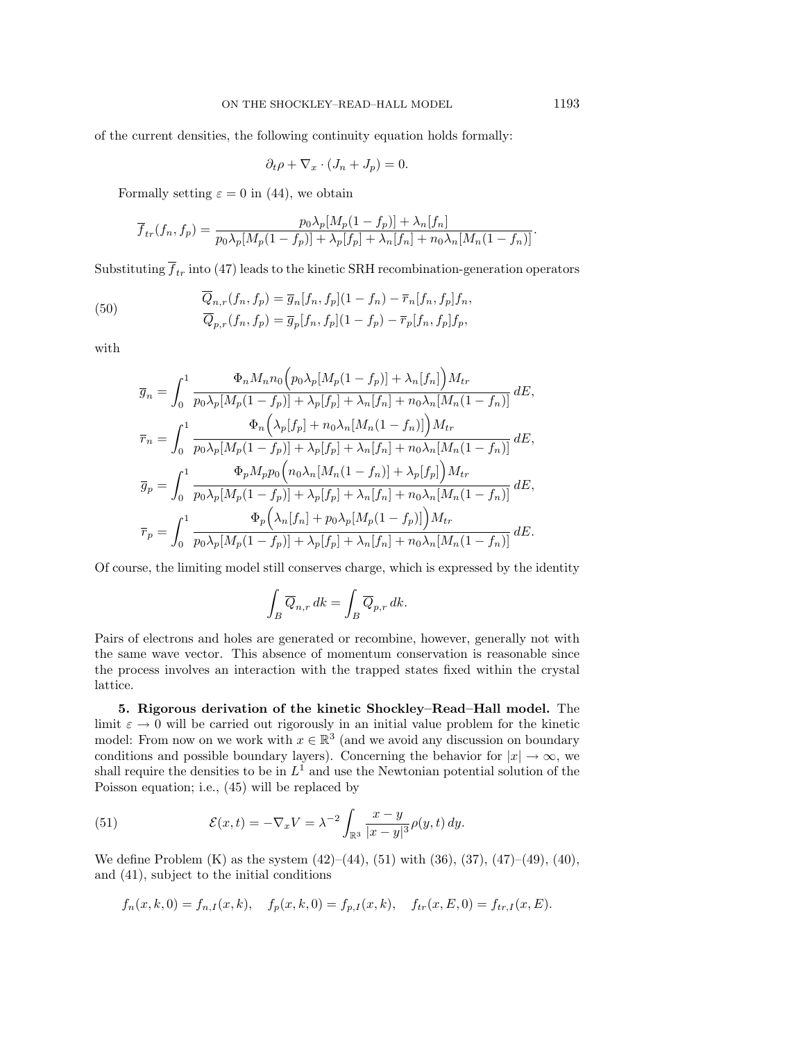of the current densities, the following continuity equation holds formally:

$$
\partial_t \rho + \nabla_x \cdot (J_n + J_p) = 0.
$$

Formally setting  $\varepsilon = 0$  in (44), we obtain

$$
\overline{f}_{tr}(f_n, f_p) = \frac{p_0 \lambda_p [M_p(1 - f_p)] + \lambda_n [f_n]}{p_0 \lambda_p [M_p(1 - f_p)] + \lambda_p [f_p] + \lambda_n [f_n] + n_0 \lambda_n [M_n(1 - f_n)]}.
$$

Substituting  $\overline{f}_{tr}$  into (47) leads to the kinetic SRH recombination-generation operators

(50) 
$$
\overline{Q}_{n,r}(f_n, f_p) = \overline{g}_n[f_n, f_p](1 - f_n) - \overline{r}_n[f_n, f_p]f_n, \n\overline{Q}_{p,r}(f_n, f_p) = \overline{g}_p[f_n, f_p](1 - f_p) - \overline{r}_p[f_n, f_p]f_p,
$$

with

$$
\overline{g}_n = \int_0^1 \frac{\Phi_n M_n n_0 \Big( p_0 \lambda_p [M_p (1 - f_p)] + \lambda_n [f_n] \Big) M_{tr}}{p_0 \lambda_p [M_p (1 - f_p)] + \lambda_p [f_p] + \lambda_n [f_n] + n_0 \lambda_n [M_n (1 - f_n)]} dE,
$$
\n
$$
\overline{r}_n = \int_0^1 \frac{\Phi_n \Big( \lambda_p [f_p] + n_0 \lambda_n [M_n (1 - f_n)] \Big) M_{tr}}{p_0 \lambda_p [M_p (1 - f_p)] + \lambda_p [f_p] + \lambda_n [f_n] + n_0 \lambda_n [M_n (1 - f_n)]} dE,
$$
\n
$$
\overline{g}_p = \int_0^1 \frac{\Phi_p M_p p_0 \Big( n_0 \lambda_n [M_n (1 - f_n)] + \lambda_p [f_p] \Big) M_{tr}}{p_0 \lambda_p [M_p (1 - f_p)] + \lambda_p [f_p] + \lambda_n [f_n] + n_0 \lambda_n [M_n (1 - f_n)]} dE,
$$
\n
$$
\overline{r}_p = \int_0^1 \frac{\Phi_p \Big( \lambda_n [f_n] + p_0 \lambda_p [M_p (1 - f_p)] \Big) M_{tr}}{p_0 \lambda_p [M_p (1 - f_p)] + \lambda_p [f_p] + \lambda_n [f_n] + n_0 \lambda_n [M_n (1 - f_n)]} dE.
$$

Of course, the limiting model still conserves charge, which is expressed by the identity

$$
\int_B \overline{Q}_{n,r}\,dk = \int_B \overline{Q}_{p,r}\,dk.
$$

Pairs of electrons and holes are generated or recombine, however, generally not with the same wave vector. This absence of momentum conservation is reasonable since the process involves an interaction with the trapped states fixed within the crystal lattice.

**5. Rigorous derivation of the kinetic Shockley–Read–Hall model.** The limit  $\varepsilon \to 0$  will be carried out rigorously in an initial value problem for the kinetic model: From now on we work with  $x \in \mathbb{R}^3$  (and we avoid any discussion on boundary conditions and possible boundary layers). Concerning the behavior for  $|x| \to \infty$ , we shall require the densities to be in  $L^1$  and use the Newtonian potential solution of the Poisson equation; i.e., (45) will be replaced by

(51) 
$$
\mathcal{E}(x,t) = -\nabla_x V = \lambda^{-2} \int_{\mathbb{R}^3} \frac{x-y}{|x-y|^3} \rho(y,t) \, dy.
$$

We define Problem (K) as the system  $(42)$ – $(44)$ ,  $(51)$  with  $(36)$ ,  $(37)$ ,  $(47)$ – $(49)$ ,  $(40)$ , and (41), subject to the initial conditions

$$
f_n(x, k, 0) = f_{n,I}(x, k),
$$
  $f_p(x, k, 0) = f_{p,I}(x, k),$   $f_{tr}(x, E, 0) = f_{tr,I}(x, E).$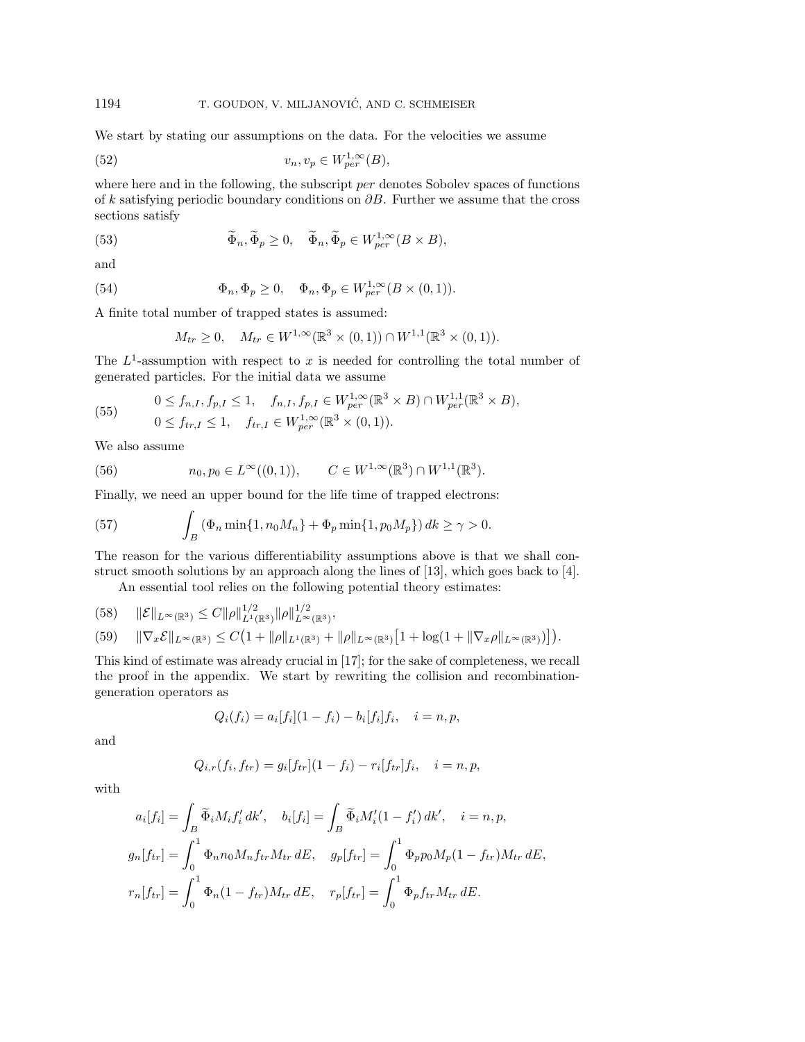We start by stating our assumptions on the data. For the velocities we assume

(52) 
$$
v_n, v_p \in W_{per}^{1,\infty}(B),
$$

where here and in the following, the subscript *per* denotes Sobolev spaces of functions of k satisfying periodic boundary conditions on ∂B. Further we assume that the cross sections satisfy

(53) 
$$
\widetilde{\Phi}_n, \widetilde{\Phi}_p \ge 0, \quad \widetilde{\Phi}_n, \widetilde{\Phi}_p \in W_{per}^{1,\infty}(B \times B),
$$

and

(54) 
$$
\Phi_n, \Phi_p \ge 0, \quad \Phi_n, \Phi_p \in W_{per}^{1,\infty}(B \times (0,1)).
$$

A finite total number of trapped states is assumed:

$$
M_{tr} \ge 0
$$
,  $M_{tr} \in W^{1,\infty}(\mathbb{R}^3 \times (0,1)) \cap W^{1,1}(\mathbb{R}^3 \times (0,1)).$ 

The  $L^1$ -assumption with respect to x is needed for controlling the total number of generated particles. For the initial data we assume

(55) 
$$
0 \le f_{n,I}, f_{p,I} \le 1, \quad f_{n,I}, f_{p,I} \in W_{per}^{1,\infty}(\mathbb{R}^3 \times B) \cap W_{per}^{1,1}(\mathbb{R}^3 \times B),
$$
  

$$
0 \le f_{tr,I} \le 1, \quad f_{tr,I} \in W_{per}^{1,\infty}(\mathbb{R}^3 \times (0,1)).
$$

We also assume

(56) 
$$
n_0, p_0 \in L^{\infty}((0,1)), \qquad C \in W^{1,\infty}(\mathbb{R}^3) \cap W^{1,1}(\mathbb{R}^3).
$$

Finally, we need an upper bound for the life time of trapped electrons:

(57) 
$$
\int_{B} (\Phi_n \min\{1, n_0 M_n\} + \Phi_p \min\{1, p_0 M_p\}) dk \ge \gamma > 0.
$$

The reason for the various differentiability assumptions above is that we shall construct smooth solutions by an approach along the lines of [13], which goes back to [4].

An essential tool relies on the following potential theory estimates:

(58) 
$$
\|\mathcal{E}\|_{L^{\infty}(\mathbb{R}^3)} \leq C \|\rho\|_{L^{1}(\mathbb{R}^3)}^{1/2} \|\rho\|_{L^{\infty}(\mathbb{R}^3)}^{1/2},
$$
  
(59) 
$$
\|\nabla_x \mathcal{E}\|_{L^{\infty}(\mathbb{R}^3)} \leq C \left(1 + \|\rho\|_{L^{1}(\mathbb{R}^3)} + \|\rho\|_{L^{\infty}(\mathbb{R}^3)} \left[1 + \log(1 + \|\nabla_x \rho\|_{L^{\infty}(\mathbb{R}^3)})\right]\right).
$$

This kind of estimate was already crucial in [17]; for the sake of completeness, we recall the proof in the appendix. We start by rewriting the collision and recombinationgeneration operators as

$$
Q_i(f_i) = a_i[f_i](1 - f_i) - b_i[f_i]f_i, \quad i = n, p,
$$

and

$$
Q_{i,r}(f_i, f_{tr}) = g_i[f_{tr}](1 - f_i) - r_i[f_{tr}]f_i, \quad i = n, p,
$$

with

$$
a_i[f_i] = \int_B \tilde{\Phi}_i M_i f'_i dk', \quad b_i[f_i] = \int_B \tilde{\Phi}_i M'_i (1 - f'_i) dk', \quad i = n, p,
$$
  
\n
$$
g_n[f_{tr}] = \int_0^1 \Phi_n n_0 M_n f_{tr} M_{tr} dE, \quad g_p[f_{tr}] = \int_0^1 \Phi_p p_0 M_p (1 - f_{tr}) M_{tr} dE,
$$
  
\n
$$
r_n[f_{tr}] = \int_0^1 \Phi_n (1 - f_{tr}) M_{tr} dE, \quad r_p[f_{tr}] = \int_0^1 \Phi_p f_{tr} M_{tr} dE.
$$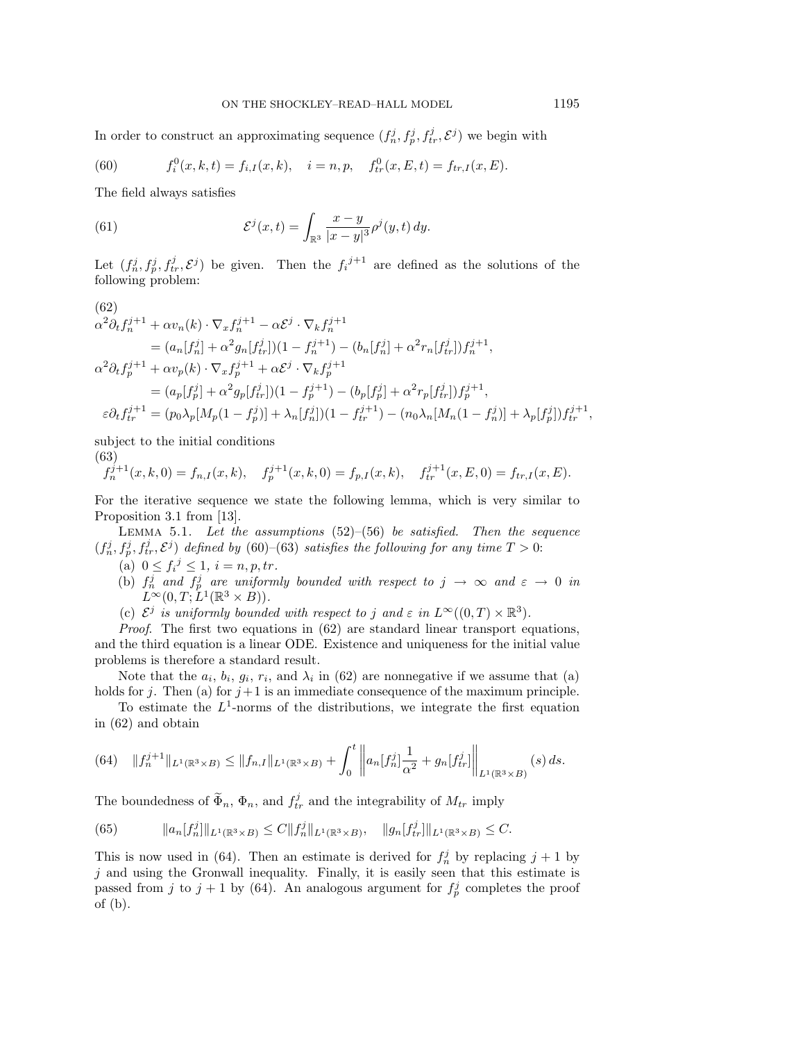In order to construct an approximating sequence  $(f_n^j, f_p^j, f_{tr}^j, \mathcal{E}^j)$  we begin with

(60) 
$$
f_i^0(x, k, t) = f_{i,I}(x, k), \quad i = n, p, \quad f_{tr}^0(x, E, t) = f_{tr,I}(x, E).
$$

The field always satisfies

(61) 
$$
\mathcal{E}^{j}(x,t) = \int_{\mathbb{R}^{3}} \frac{x-y}{|x-y|^{3}} \rho^{j}(y,t) dy.
$$

Let  $(f_n^j, f_p^j, f_{tr}^j, \mathcal{E}^j)$  be given. Then the  $f_i^{j+1}$  are defined as the solutions of the following problem:

$$
(62)
$$
  
\n
$$
\alpha^{2} \partial_{t} f_{n}^{j+1} + \alpha v_{n}(k) \cdot \nabla_{x} f_{n}^{j+1} - \alpha \mathcal{E}^{j} \cdot \nabla_{k} f_{n}^{j+1}
$$
  
\n
$$
= (a_{n}[f_{n}^{j}] + \alpha^{2} g_{n}[f_{tr}^{j}]) (1 - f_{n}^{j+1}) - (b_{n}[f_{n}^{j}] + \alpha^{2} r_{n}[f_{tr}^{j}]) f_{n}^{j+1},
$$
  
\n
$$
\alpha^{2} \partial_{t} f_{p}^{j+1} + \alpha v_{p}(k) \cdot \nabla_{x} f_{p}^{j+1} + \alpha \mathcal{E}^{j} \cdot \nabla_{k} f_{p}^{j+1}
$$
  
\n
$$
= (a_{p}[f_{p}^{j}] + \alpha^{2} g_{p}[f_{tr}^{j}] ) (1 - f_{p}^{j+1}) - (b_{p}[f_{p}^{j}] + \alpha^{2} r_{p}[f_{tr}^{j}] ) f_{p}^{j+1},
$$
  
\n
$$
\varepsilon \partial_{t} f_{tr}^{j+1} = (p_{0} \lambda_{p}[M_{p}(1 - f_{p}^{j})] + \lambda_{n}[f_{n}^{j}] ) (1 - f_{tr}^{j+1}) - (n_{0} \lambda_{n}[M_{n}(1 - f_{n}^{j})] + \lambda_{p}[f_{p}^{j}] ) f_{tr}^{j+1},
$$

subject to the initial conditions

(63)  $f_n^{j+1}(x, k, 0) = f_{n,I}(x, k), \quad f_p^{j+1}(x, k, 0) = f_{p,I}(x, k), \quad f_{tr}^{j+1}(x, E, 0) = f_{tr,I}(x, E).$ 

For the iterative sequence we state the following lemma, which is very similar to Proposition 3.1 from [13].

LEMMA 5.1. Let the assumptions  $(52)$ – $(56)$  be satisfied. Then the sequence  $(f_n^j, f_p^j, f_{tr}^j, \mathcal{E}^j)$  defined by (60)–(63) satisfies the following for any time  $T > 0$ :

- (a)  $0 \le f_i^j \le 1, i = n, p, tr.$
- (b)  $f_n^j$  and  $f_p^j$  are uniformly bounded with respect to  $j \to \infty$  and  $\varepsilon \to 0$  in  $L^{\infty}(0,T;L^{1}(\mathbb{R}^{3}\times B)).$
- (c)  $\mathcal{E}^j$  is uniformly bounded with respect to j and  $\varepsilon$  in  $L^{\infty}((0,T) \times \mathbb{R}^3)$ .

*Proof.* The first two equations in  $(62)$  are standard linear transport equations, and the third equation is a linear ODE. Existence and uniqueness for the initial value problems is therefore a standard result.

Note that the  $a_i$ ,  $b_i$ ,  $q_i$ ,  $r_i$ , and  $\lambda_i$  in (62) are nonnegative if we assume that (a) holds for j. Then (a) for  $j+1$  is an immediate consequence of the maximum principle.

To estimate the  $L^1$ -norms of the distributions, we integrate the first equation in (62) and obtain

$$
(64) \quad ||f_n^{j+1}||_{L^1(\mathbb{R}^3 \times B)} \le ||f_{n,I}||_{L^1(\mathbb{R}^3 \times B)} + \int_0^t \left||a_n[f_n^j] \frac{1}{\alpha^2} + g_n[f_n^j] \right||_{L^1(\mathbb{R}^3 \times B)}(s) ds.
$$

The boundedness of  $\widetilde{\Phi}_n$ ,  $\Phi_n$ , and  $f_{tr}^j$  and the integrability of  $M_{tr}$  imply

(65) 
$$
||a_n[f_n^j]||_{L^1(\mathbb{R}^3 \times B)} \leq C ||f_n^j||_{L^1(\mathbb{R}^3 \times B)}, \quad ||g_n[f_n^j]||_{L^1(\mathbb{R}^3 \times B)} \leq C.
$$

This is now used in (64). Then an estimate is derived for  $f_n^j$  by replacing  $j + 1$  by  $j$  and using the Gronwall inequality. Finally, it is easily seen that this estimate is passed from j to  $j + 1$  by (64). An analogous argument for  $f_p^j$  completes the proof of (b).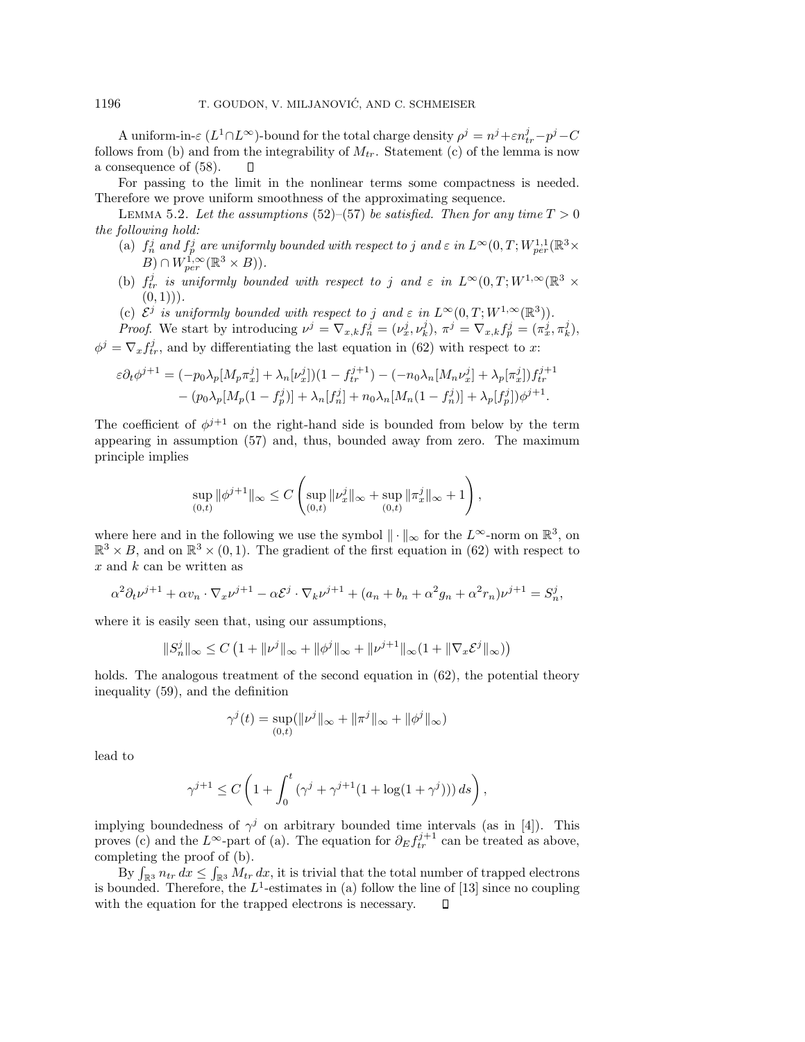A uniform-in- $\varepsilon$  ( $L^1 \cap L^{\infty}$ )-bound for the total charge density  $\rho^j = n^j + \varepsilon n_{tr}^j - p^j - C$ follows from (b) and from the integrability of  $M_{tr}$ . Statement (c) of the lemma is now a consequence of (58).  $\Box$ 

For passing to the limit in the nonlinear terms some compactness is needed. Therefore we prove uniform smoothness of the approximating sequence.

LEMMA 5.2. Let the assumptions (52)–(57) be satisfied. Then for any time  $T > 0$ the following hold:

- (a)  $f_n^j$  and  $f_p^j$  are uniformly bounded with respect to j and  $\varepsilon$  in  $L^{\infty}(0,T;W^{1,1}_{per}(\mathbb{R}^3\times$  $(B) \cap W_{per}^{\overline{1},\infty}(\mathbb{R}^3 \times B)).$
- (b)  $f_{tr}^j$  is uniformly bounded with respect to j and  $\varepsilon$  in  $L^{\infty}(0,T;W^{1,\infty}(\mathbb{R}^3 \times$  $(0, 1))$ .
- (c)  $\mathcal{E}^j$  is uniformly bounded with respect to j and  $\varepsilon$  in  $L^{\infty}(0,T;W^{1,\infty}(\mathbb{R}^3))$ .

Proof. We start by introducing  $\nu^j = \nabla_{x,k} f_n^j = (\nu_x^j, \nu_k^j), \ \pi^j = \nabla_{x,k} f_p^j = (\pi_x^j, \pi_k^j),$  $\phi^j = \nabla_x f_{tr}^j$ , and by differentiating the last equation in (62) with respect to x:

$$
\varepsilon \partial_t \phi^{j+1} = (-p_0 \lambda_p [M_p \pi_x^j] + \lambda_n [\nu_x^j])(1 - f_{tr}^{j+1}) - (-n_0 \lambda_n [M_n \nu_x^j] + \lambda_p [\pi_x^j]) f_{tr}^{j+1} - (p_0 \lambda_p [M_p (1 - f_p^j]) + \lambda_n [f_n^j] + n_0 \lambda_n [M_n (1 - f_n^j)] + \lambda_p [f_p^j]) \phi^{j+1}.
$$

The coefficient of  $\phi^{j+1}$  on the right-hand side is bounded from below by the term appearing in assumption (57) and, thus, bounded away from zero. The maximum principle implies

$$
\sup_{(0,t)} \|\phi^{j+1}\|_\infty \leq C \left( \sup_{(0,t)} \|\nu_x^j\|_\infty + \sup_{(0,t)} \|\pi_x^j\|_\infty + 1 \right),
$$

where here and in the following we use the symbol  $\|\cdot\|_{\infty}$  for the  $L^{\infty}$ -norm on  $\mathbb{R}^{3}$ , on  $\mathbb{R}^3 \times B$ , and on  $\mathbb{R}^3 \times (0, 1)$ . The gradient of the first equation in (62) with respect to  $x$  and  $k$  can be written as

$$
\alpha^2 \partial_t \nu^{j+1} + \alpha v_n \cdot \nabla_x \nu^{j+1} - \alpha \mathcal{E}^j \cdot \nabla_k \nu^{j+1} + (a_n + b_n + \alpha^2 g_n + \alpha^2 r_n) \nu^{j+1} = S_n^j,
$$

where it is easily seen that, using our assumptions,

$$
||S_n^j||_{\infty} \le C \left( 1 + ||\nu^j||_{\infty} + ||\phi^j||_{\infty} + ||\nu^{j+1}||_{\infty} (1 + ||\nabla_x \mathcal{E}^j||_{\infty}) \right)
$$

holds. The analogous treatment of the second equation in (62), the potential theory inequality (59), and the definition

$$
\gamma^{j}(t) = \sup_{(0,t)} (\|\nu^{j}\|_{\infty} + \|\pi^{j}\|_{\infty} + \|\phi^{j}\|_{\infty})
$$

lead to

$$
\gamma^{j+1}\leq C\left(1+\int_0^t\left(\gamma^j+\gamma^{j+1}(1+\log(1+\gamma^j))\right)ds\right),
$$

implying boundedness of  $\gamma^j$  on arbitrary bounded time intervals (as in [4]). This proves (c) and the L<sup>∞</sup>-part of (a). The equation for  $\partial_E f_{tr}^{j+1}$  can be treated as above, completing the proof of (b).

By  $\int_{\mathbb{R}^3} n_{tr} dx \le \int_{\mathbb{R}^3} M_{tr} dx$ , it is trivial that the total number of trapped electrons is bounded. Therefore, the  $L^1$ -estimates in (a) follow the line of [13] since no coupling with the equation for the trapped electrons is necessary.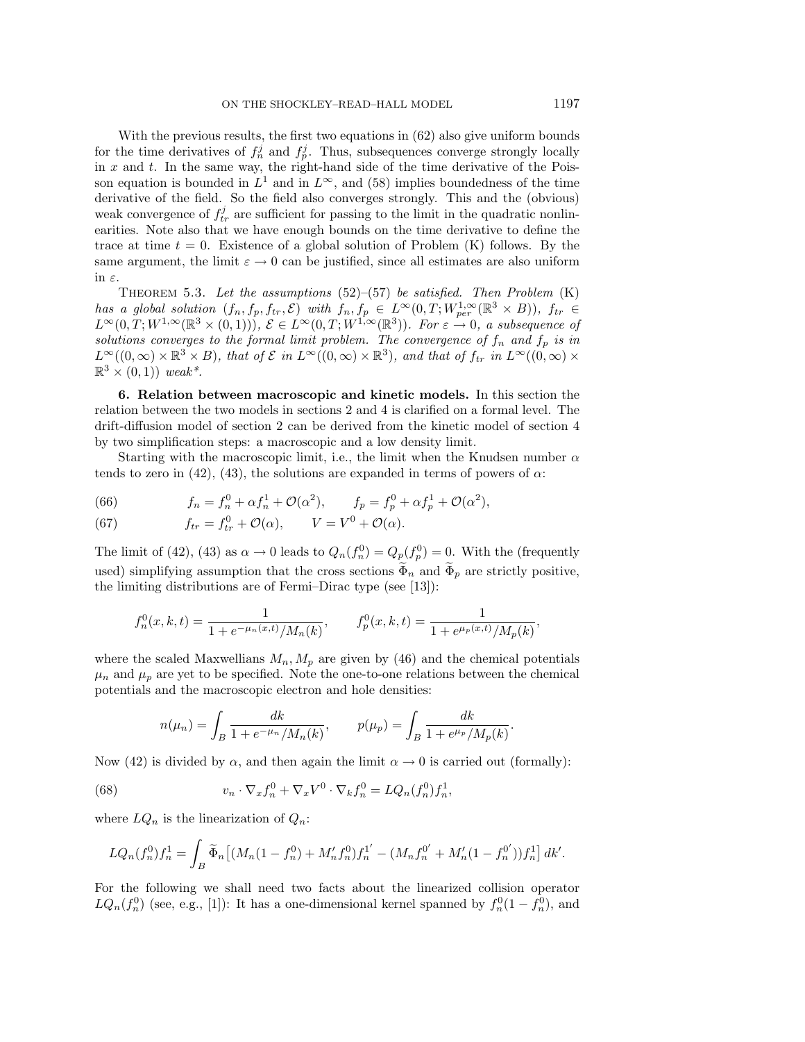With the previous results, the first two equations in (62) also give uniform bounds for the time derivatives of  $f_n^j$  and  $f_p^j$ . Thus, subsequences converge strongly locally in  $x$  and  $t$ . In the same way, the right-hand side of the time derivative of the Poisson equation is bounded in  $L^1$  and in  $L^{\infty}$ , and (58) implies boundedness of the time derivative of the field. So the field also converges strongly. This and the (obvious) weak convergence of  $f_{tr}^j$  are sufficient for passing to the limit in the quadratic nonlinearities. Note also that we have enough bounds on the time derivative to define the trace at time  $t = 0$ . Existence of a global solution of Problem (K) follows. By the same argument, the limit  $\varepsilon \to 0$  can be justified, since all estimates are also uniform in  $\varepsilon$ .

THEOREM 5.3. Let the assumptions  $(52)$ – $(57)$  be satisfied. Then Problem  $(K)$ has a global solution  $(f_n, f_p, f_{tr}, \mathcal{E})$  with  $f_n, f_p \in L^{\infty}(0,T; W^{1,\infty}_{per}(\mathbb{R}^3 \times B)),$   $f_{tr} \in$  $L^{\infty}(0,T;W^{1,\infty}(\mathbb{R}^3\times(0,1))),\ \mathcal{E}\in L^{\infty}(0,T;W^{1,\infty}(\mathbb{R}^3)).$  For  $\varepsilon\stackrel{\sim}{\to}0,$  a subsequence of solutions converges to the formal limit problem. The convergence of  $f_n$  and  $f_p$  is in  $L^{\infty}((0,\infty) \times \mathbb{R}^3 \times B)$ , that of  $\mathcal{E}$  in  $L^{\infty}((0,\infty) \times \mathbb{R}^3)$ , and that of  $f_{tr}$  in  $L^{\infty}((0,\infty) \times$  $\mathbb{R}^3 \times (0,1)$  weak<sup>\*</sup>.

**6. Relation between macroscopic and kinetic models.** In this section the relation between the two models in sections 2 and 4 is clarified on a formal level. The drift-diffusion model of section 2 can be derived from the kinetic model of section 4 by two simplification steps: a macroscopic and a low density limit.

Starting with the macroscopic limit, i.e., the limit when the Knudsen number  $\alpha$ tends to zero in (42), (43), the solutions are expanded in terms of powers of  $\alpha$ :

(66) 
$$
f_n = f_n^0 + \alpha f_n^1 + \mathcal{O}(\alpha^2), \qquad f_p = f_p^0 + \alpha f_p^1 + \mathcal{O}(\alpha^2),
$$

(67) 
$$
f_{tr} = f_{tr}^0 + \mathcal{O}(\alpha), \qquad V = V^0 + \mathcal{O}(\alpha).
$$

The limit of (42), (43) as  $\alpha \to 0$  leads to  $Q_n(f_n^0) = Q_p(f_p^0) = 0$ . With the (frequently used) simplifying assumption that the cross sections  $\Phi_n$  and  $\Phi_p$  are strictly positive, the limiting distributions are of Fermi–Dirac type (see [13]):

$$
f_n^0(x, k, t) = \frac{1}{1 + e^{-\mu_n(x, t)} / M_n(k)}, \qquad f_p^0(x, k, t) = \frac{1}{1 + e^{\mu_p(x, t)} / M_p(k)},
$$

where the scaled Maxwellians  $M_n, M_p$  are given by (46) and the chemical potentials  $\mu_n$  and  $\mu_p$  are yet to be specified. Note the one-to-one relations between the chemical potentials and the macroscopic electron and hole densities:

$$
n(\mu_n) = \int_B \frac{dk}{1 + e^{-\mu_n}/M_n(k)}, \qquad p(\mu_p) = \int_B \frac{dk}{1 + e^{\mu_p}/M_p(k)}.
$$

Now (42) is divided by  $\alpha$ , and then again the limit  $\alpha \to 0$  is carried out (formally):

(68) 
$$
v_n \cdot \nabla_x f_n^0 + \nabla_x V^0 \cdot \nabla_k f_n^0 = LQ_n(f_n^0) f_n^1,
$$

where  $LQ_n$  is the linearization of  $Q_n$ :

$$
LQ_n(f_n^0)f_n^1 = \int_B \widetilde{\Phi}_n \left[ (M_n(1 - f_n^0) + M'_n f_n^0) f_n^{1'} - (M_n f_n^{0'} + M'_n (1 - f_n^{0'})) f_n^1 \right] dk'.
$$

For the following we shall need two facts about the linearized collision operator  $LQ_n(f_n^0)$  (see, e.g., [1]): It has a one-dimensional kernel spanned by  $f_n^0(1-f_n^0)$ , and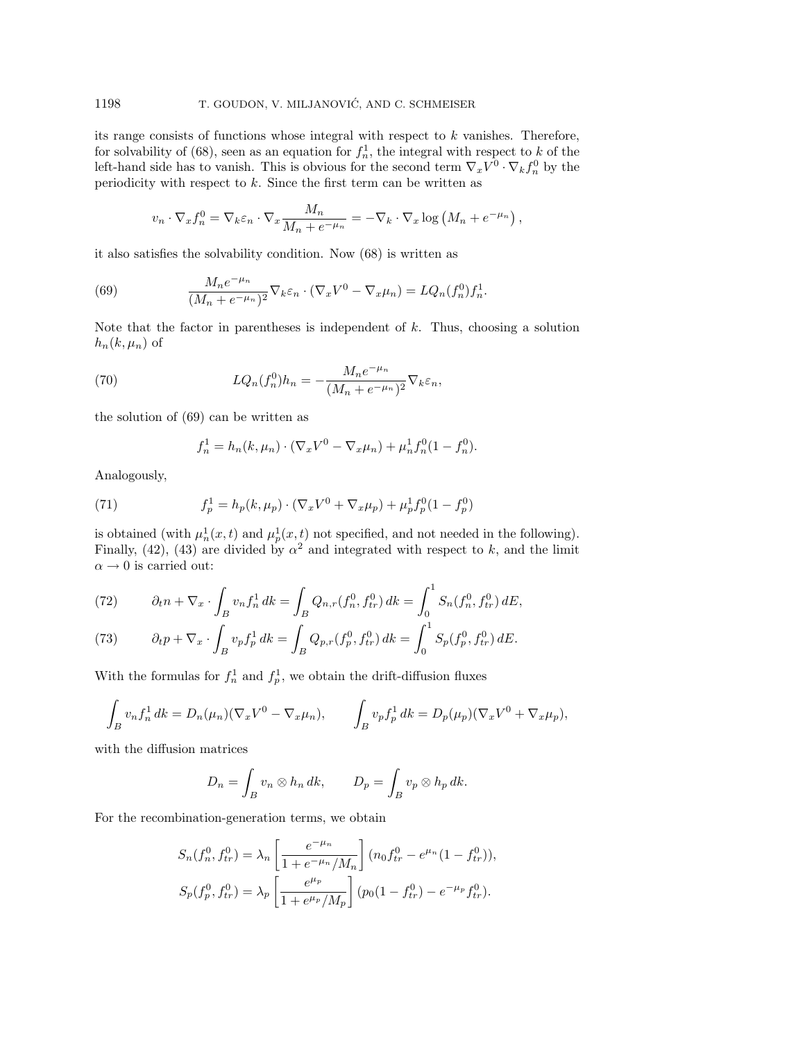its range consists of functions whose integral with respect to  $k$  vanishes. Therefore, for solvability of (68), seen as an equation for  $f_n^1$ , the integral with respect to k of the left-hand side has to vanish. This is obvious for the second term  $\nabla_x V^0 \cdot \nabla_k f_n^0$  by the periodicity with respect to  $k$ . Since the first term can be written as

$$
v_n \cdot \nabla_x f_n^0 = \nabla_k \varepsilon_n \cdot \nabla_x \frac{M_n}{M_n + e^{-\mu_n}} = -\nabla_k \cdot \nabla_x \log \left( M_n + e^{-\mu_n} \right),
$$

it also satisfies the solvability condition. Now (68) is written as

(69) 
$$
\frac{M_n e^{-\mu_n}}{(M_n + e^{-\mu_n})^2} \nabla_k \varepsilon_n \cdot (\nabla_x V^0 - \nabla_x \mu_n) = LQ_n(f_n^0) f_n^1.
$$

Note that the factor in parentheses is independent of  $k$ . Thus, choosing a solution  $h_n(k, \mu_n)$  of

(70) 
$$
LQ_n(f_n^0)h_n = -\frac{M_n e^{-\mu_n}}{(M_n + e^{-\mu_n})^2} \nabla_k \varepsilon_n,
$$

the solution of (69) can be written as

$$
f_n^1 = h_n(k, \mu_n) \cdot (\nabla_x V^0 - \nabla_x \mu_n) + \mu_n^1 f_n^0 (1 - f_n^0).
$$

Analogously,

(71) 
$$
f_p^1 = h_p(k, \mu_p) \cdot (\nabla_x V^0 + \nabla_x \mu_p) + \mu_p^1 f_p^0 (1 - f_p^0)
$$

is obtained (with  $\mu_n^1(x,t)$  and  $\mu_p^1(x,t)$  not specified, and not needed in the following). Finally, (42), (43) are divided by  $\alpha^2$  and integrated with respect to k, and the limit  $\alpha \rightarrow 0$  is carried out:

(72) 
$$
\partial_t n + \nabla_x \cdot \int_B v_n f_n^1 \, dk = \int_B Q_{n,r}(f_n^0, f_{tr}^0) \, dk = \int_0^1 S_n(f_n^0, f_{tr}^0) \, dE,
$$

(73) 
$$
\partial_t p + \nabla_x \cdot \int_B v_p f_p^1 \, dk = \int_B Q_{p,r}(f_p^0, f_{tr}^0) \, dk = \int_0^1 S_p(f_p^0, f_{tr}^0) \, dE.
$$

With the formulas for  $f_n^1$  and  $f_p^1$ , we obtain the drift-diffusion fluxes

$$
\int_B v_n f_n^1 dk = D_n(\mu_n) (\nabla_x V^0 - \nabla_x \mu_n), \qquad \int_B v_p f_p^1 dk = D_p(\mu_p) (\nabla_x V^0 + \nabla_x \mu_p),
$$

with the diffusion matrices

$$
D_n = \int_B v_n \otimes h_n \, dk, \qquad D_p = \int_B v_p \otimes h_p \, dk.
$$

For the recombination-generation terms, we obtain

$$
S_n(f_n^0, f_{tr}^0) = \lambda_n \left[ \frac{e^{-\mu_n}}{1 + e^{-\mu_n}/M_n} \right] (n_0 f_{tr}^0 - e^{\mu_n} (1 - f_{tr}^0)),
$$
  

$$
S_p(f_p^0, f_{tr}^0) = \lambda_p \left[ \frac{e^{\mu_p}}{1 + e^{\mu_p}/M_p} \right] (p_0 (1 - f_{tr}^0) - e^{-\mu_p} f_{tr}^0).
$$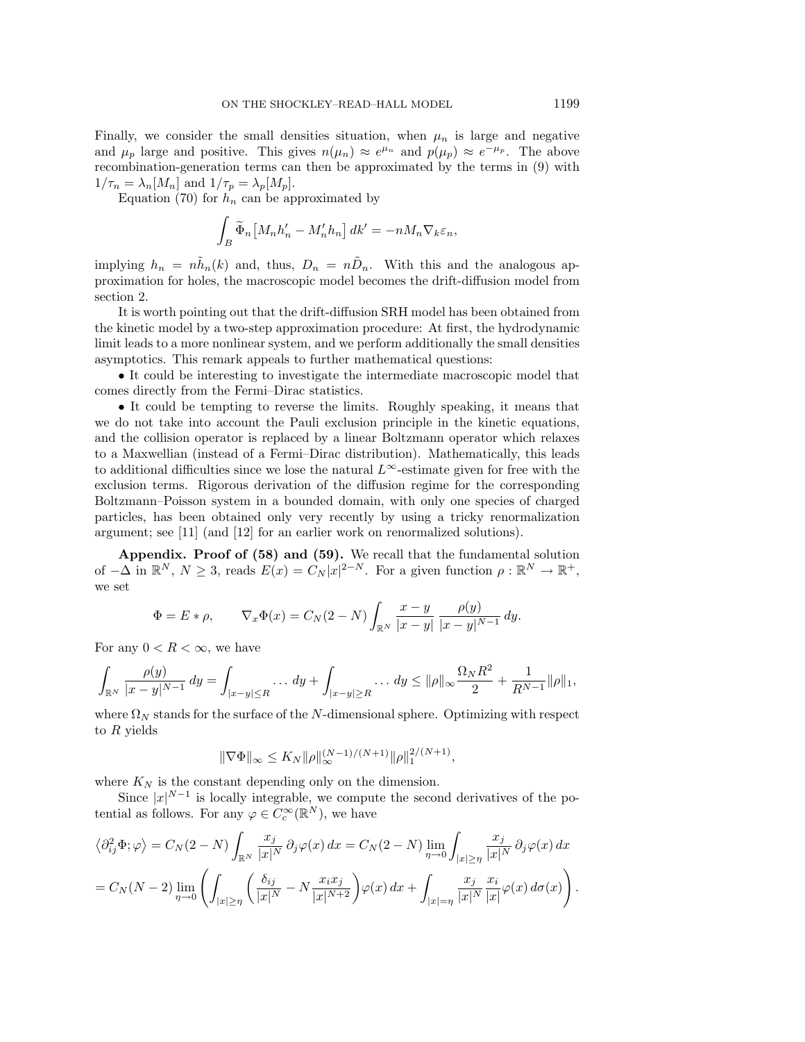Finally, we consider the small densities situation, when  $\mu_n$  is large and negative and  $\mu_p$  large and positive. This gives  $n(\mu_n) \approx e^{\mu_n}$  and  $p(\mu_p) \approx e^{-\mu_p}$ . The above recombination-generation terms can then be approximated by the terms in (9) with  $1/\tau_n = \lambda_n[M_n]$  and  $1/\tau_p = \lambda_p[M_p]$ .

Equation (70) for  $h_n$  can be approximated by

$$
\int_B \widetilde{\Phi}_n \left[ M_n h'_n - M'_n h_n \right] dk' = -n M_n \nabla_k \varepsilon_n,
$$

implying  $h_n = n\tilde{h}_n(k)$  and, thus,  $D_n = n\tilde{D}_n$ . With this and the analogous approximation for holes, the macroscopic model becomes the drift-diffusion model from section 2.

It is worth pointing out that the drift-diffusion SRH model has been obtained from the kinetic model by a two-step approximation procedure: At first, the hydrodynamic limit leads to a more nonlinear system, and we perform additionally the small densities asymptotics. This remark appeals to further mathematical questions:

• It could be interesting to investigate the intermediate macroscopic model that comes directly from the Fermi–Dirac statistics.

• It could be tempting to reverse the limits. Roughly speaking, it means that we do not take into account the Pauli exclusion principle in the kinetic equations, and the collision operator is replaced by a linear Boltzmann operator which relaxes to a Maxwellian (instead of a Fermi–Dirac distribution). Mathematically, this leads to additional difficulties since we lose the natural  $L^{\infty}$ -estimate given for free with the exclusion terms. Rigorous derivation of the diffusion regime for the corresponding Boltzmann–Poisson system in a bounded domain, with only one species of charged particles, has been obtained only very recently by using a tricky renormalization argument; see [11] (and [12] for an earlier work on renormalized solutions).

**Appendix. Proof of (58) and (59).** We recall that the fundamental solution of  $-\Delta$  in  $\mathbb{R}^N$ ,  $N \geq 3$ , reads  $E(x) = C_N |x|^{2-N}$ . For a given function  $\rho : \mathbb{R}^N \to \mathbb{R}^+,$ we set

$$
\Phi = E * \rho, \qquad \nabla_x \Phi(x) = C_N (2 - N) \int_{\mathbb{R}^N} \frac{x - y}{|x - y|} \frac{\rho(y)}{|x - y|^{N - 1}} \, dy.
$$

For any  $0 < R < \infty$ , we have

$$
\int_{\mathbb{R}^N} \frac{\rho(y)}{|x-y|^{N-1}} \, dy = \int_{|x-y| \le R} \dots \, dy + \int_{|x-y| \ge R} \dots \, dy \le ||\rho||_{\infty} \frac{\Omega_N R^2}{2} + \frac{1}{R^{N-1}} ||\rho||_1,
$$

where  $\Omega_N$  stands for the surface of the N-dimensional sphere. Optimizing with respect to  $R$  yields

$$
\|\nabla\Phi\|_{\infty} \le K_N \|\rho\|_{\infty}^{(N-1)/(N+1)} \|\rho\|_{1}^{2/(N+1)},
$$

where  $K_N$  is the constant depending only on the dimension.

Since  $|x|^{N-1}$  is locally integrable, we compute the second derivatives of the potential as follows. For any  $\varphi \in C_c^{\infty}(\mathbb{R}^N)$ , we have

$$
\langle \partial_{ij}^2 \Phi; \varphi \rangle = C_N(2 - N) \int_{\mathbb{R}^N} \frac{x_j}{|x|^N} \partial_j \varphi(x) dx = C_N(2 - N) \lim_{\eta \to 0} \int_{|x| \ge \eta} \frac{x_j}{|x|^N} \partial_j \varphi(x) dx
$$
  
=  $C_N(N - 2) \lim_{\eta \to 0} \left( \int_{|x| \ge \eta} \left( \frac{\delta_{ij}}{|x|^N} - N \frac{x_i x_j}{|x|^{N+2}} \right) \varphi(x) dx + \int_{|x| = \eta} \frac{x_j}{|x|^N} \frac{x_i}{|x|} \varphi(x) d\sigma(x) \right).$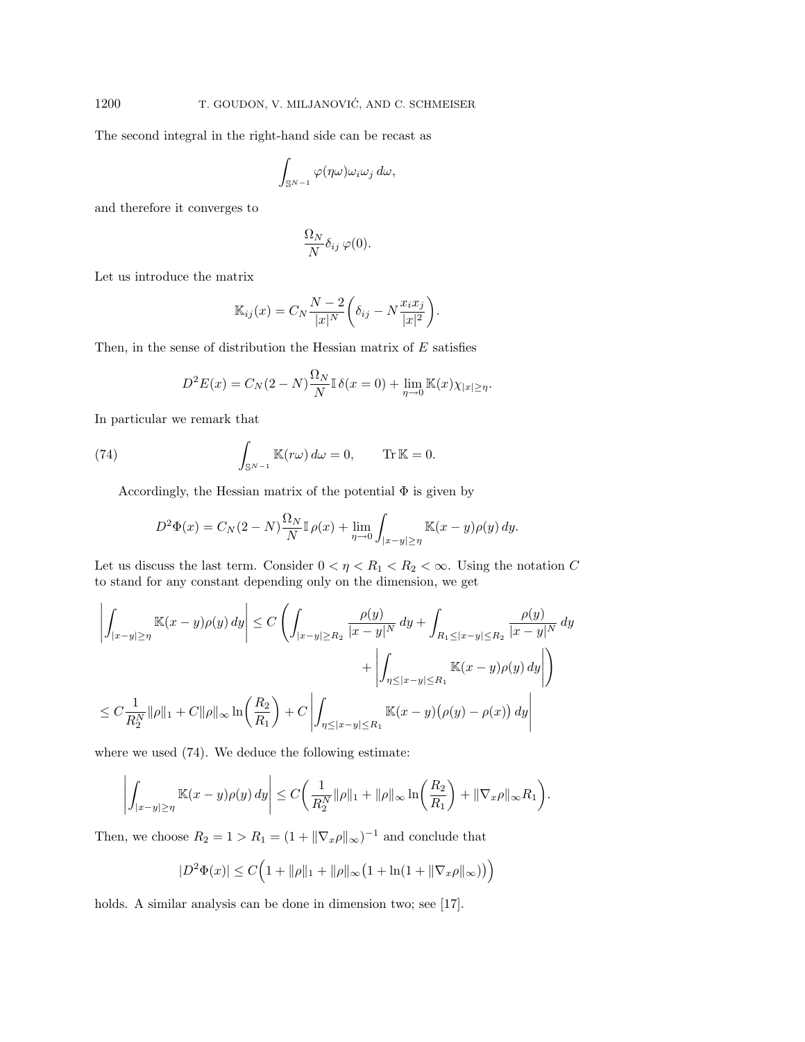The second integral in the right-hand side can be recast as

$$
\int_{\mathbb{S}^{N-1}} \varphi(\eta\omega) \omega_i \omega_j d\omega,
$$

and therefore it converges to

$$
\frac{\Omega_N}{N} \delta_{ij} \varphi(0).
$$

Let us introduce the matrix

$$
\mathbb{K}_{ij}(x) = C_N \frac{N-2}{|x|^N} \left( \delta_{ij} - N \frac{x_i x_j}{|x|^2} \right).
$$

Then, in the sense of distribution the Hessian matrix of  $E$  satisfies

$$
D^{2}E(x) = C_{N}(2 - N)\frac{\Omega_{N}}{N} \mathbb{I} \delta(x = 0) + \lim_{\eta \to 0} \mathbb{K}(x)\chi_{|x| \geq \eta}.
$$

In particular we remark that

(74) 
$$
\int_{\mathbb{S}^{N-1}} \mathbb{K}(r\omega) d\omega = 0, \quad \text{Tr } \mathbb{K} = 0.
$$

Accordingly, the Hessian matrix of the potential  $\Phi$  is given by

$$
D^2\Phi(x) = C_N(2-N)\frac{\Omega_N}{N}\mathbb{I}\,\rho(x) + \lim_{\eta \to 0} \int_{|x-y| \ge \eta} \mathbb{K}(x-y)\rho(y)\,dy.
$$

Let us discuss the last term. Consider  $0 < \eta < R_1 < R_2 < \infty$ . Using the notation C to stand for any constant depending only on the dimension, we get

$$
\left| \int_{|x-y| \ge \eta} \mathbb{K}(x-y)\rho(y) \, dy \right| \le C \left( \int_{|x-y| \ge R_2} \frac{\rho(y)}{|x-y|^N} \, dy + \int_{R_1 \le |x-y| \le R_2} \frac{\rho(y)}{|x-y|^N} \, dy \right) \n+ \left| \int_{\eta \le |x-y| \le R_1} \mathbb{K}(x-y)\rho(y) \, dy \right| \n\le C \frac{1}{R_2^N} \|\rho\|_1 + C \|\rho\|_{\infty} \ln \left( \frac{R_2}{R_1} \right) + C \left| \int_{\eta \le |x-y| \le R_1} \mathbb{K}(x-y) \left( \rho(y) - \rho(x) \right) \, dy \right|
$$

where we used (74). We deduce the following estimate:

 $\overline{1}$ 

$$
\left| \int_{|x-y| \ge \eta} \mathbb{K}(x-y)\rho(y) \, dy \right| \le C \bigg( \frac{1}{R_2^N} \|\rho\|_1 + \|\rho\|_{\infty} \ln \bigg( \frac{R_2}{R_1} \bigg) + \|\nabla_x \rho\|_{\infty} R_1 \bigg).
$$

Then, we choose  $R_2 = 1 > R_1 = (1 + ||\nabla_x \rho||_{\infty})^{-1}$  and conclude that

$$
|D^2\Phi(x)| \le C\Big(1 + \|\rho\|_1 + \|\rho\|_{\infty} \big(1 + \ln(1 + \|\nabla_x \rho\|_{\infty})\big)\Big)
$$

holds. A similar analysis can be done in dimension two; see [17].